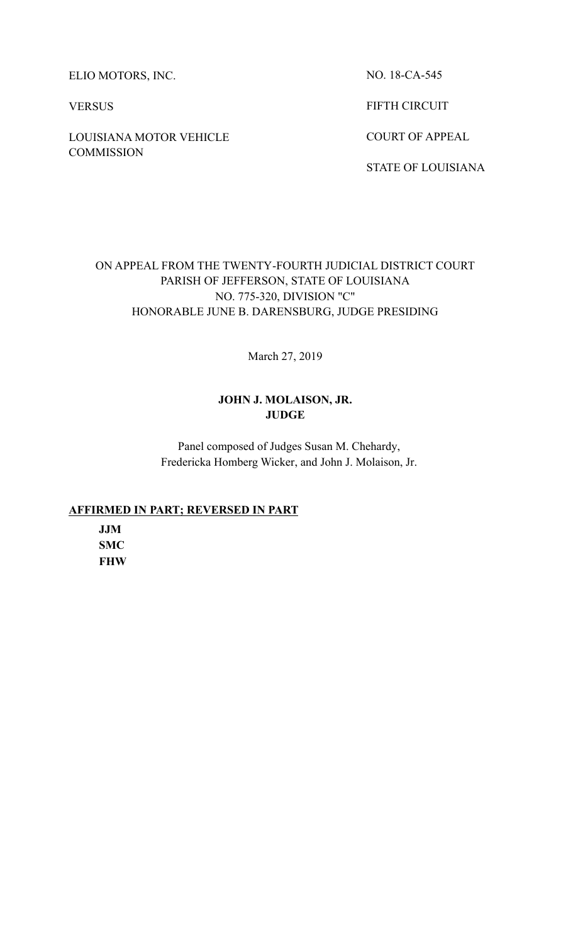ELIO MOTORS, INC.

VERSUS

LOUISIANA MOTOR VEHICLE **COMMISSION** 

NO. 18-CA-545

FIFTH CIRCUIT

COURT OF APPEAL

STATE OF LOUISIANA

# ON APPEAL FROM THE TWENTY-FOURTH JUDICIAL DISTRICT COURT PARISH OF JEFFERSON, STATE OF LOUISIANA NO. 775-320, DIVISION "C" HONORABLE JUNE B. DARENSBURG, JUDGE PRESIDING

March 27, 2019

# **JOHN J. MOLAISON, JR. JUDGE**

Panel composed of Judges Susan M. Chehardy, Fredericka Homberg Wicker, and John J. Molaison, Jr.

# **AFFIRMED IN PART; REVERSED IN PART**

**JJM SMC FHW**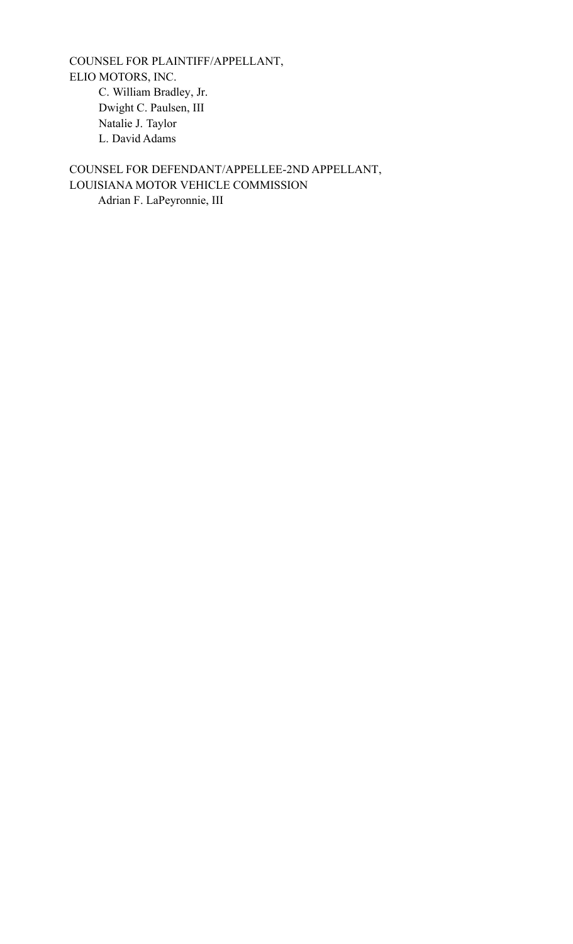COUNSEL FOR PLAINTIFF/APPELLANT, ELIO MOTORS, INC. C. William Bradley, Jr. Dwight C. Paulsen, III Natalie J. Taylor L. David Adams

COUNSEL FOR DEFENDANT/APPELLEE-2ND APPELLANT, LOUISIANA MOTOR VEHICLE COMMISSION Adrian F. LaPeyronnie, III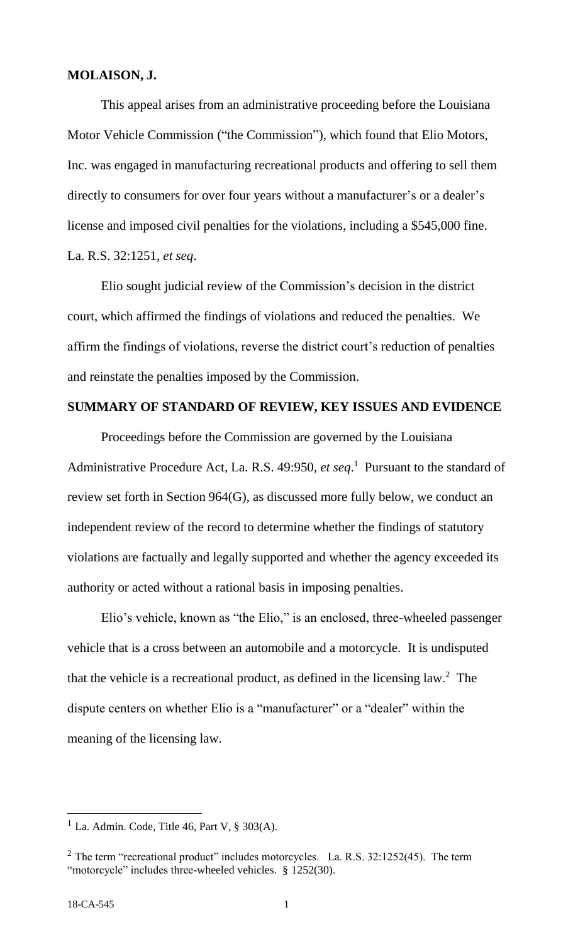## **MOLAISON, J.**

This appeal arises from an administrative proceeding before the Louisiana Motor Vehicle Commission ("the Commission"), which found that Elio Motors, Inc. was engaged in manufacturing recreational products and offering to sell them directly to consumers for over four years without a manufacturer's or a dealer's license and imposed civil penalties for the violations, including a \$545,000 fine. La. R.S. 32:1251, *et seq*.

Elio sought judicial review of the Commission's decision in the district court, which affirmed the findings of violations and reduced the penalties. We affirm the findings of violations, reverse the district court's reduction of penalties and reinstate the penalties imposed by the Commission.

## **SUMMARY OF STANDARD OF REVIEW, KEY ISSUES AND EVIDENCE**

Proceedings before the Commission are governed by the Louisiana Administrative Procedure Act, La. R.S. 49:950, *et seq*. 1 Pursuant to the standard of review set forth in Section 964(G), as discussed more fully below, we conduct an independent review of the record to determine whether the findings of statutory violations are factually and legally supported and whether the agency exceeded its authority or acted without a rational basis in imposing penalties.

Elio's vehicle, known as "the Elio," is an enclosed, three-wheeled passenger vehicle that is a cross between an automobile and a motorcycle. It is undisputed that the vehicle is a recreational product, as defined in the licensing law.<sup>2</sup> The dispute centers on whether Elio is a "manufacturer" or a "dealer" within the meaning of the licensing law.

<sup>&</sup>lt;sup>1</sup> La. Admin. Code, Title 46, Part V,  $\S 303(A)$ .

 $2$  The term "recreational product" includes motorcycles. La. R.S. 32:1252(45). The term "motorcycle" includes three-wheeled vehicles. § 1252(30).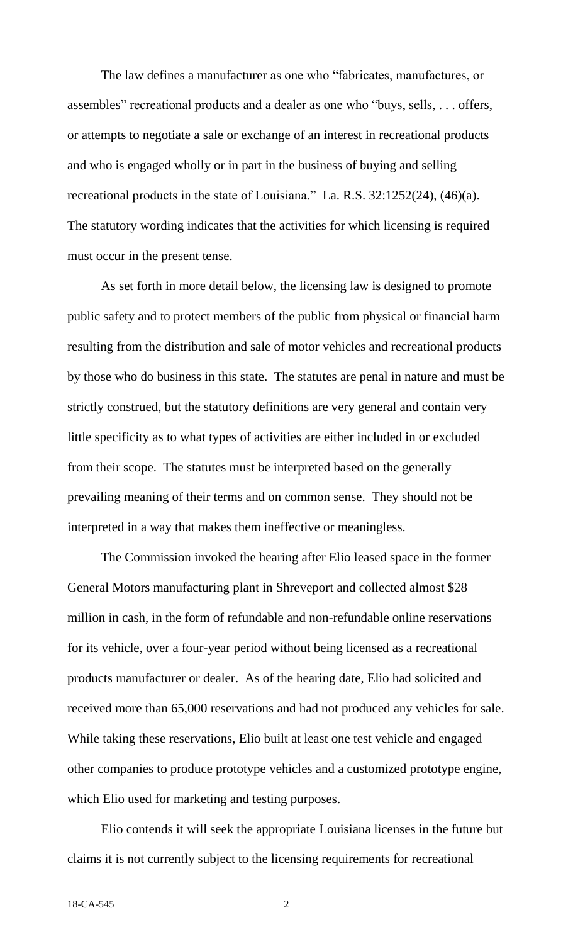The law defines a manufacturer as one who "fabricates, manufactures, or assembles" recreational products and a dealer as one who "buys, sells, . . . offers, or attempts to negotiate a sale or exchange of an interest in recreational products and who is engaged wholly or in part in the business of buying and selling recreational products in the state of Louisiana." La. R.S. 32:1252(24), (46)(a). The statutory wording indicates that the activities for which licensing is required must occur in the present tense.

As set forth in more detail below, the licensing law is designed to promote public safety and to protect members of the public from physical or financial harm resulting from the distribution and sale of motor vehicles and recreational products by those who do business in this state. The statutes are penal in nature and must be strictly construed, but the statutory definitions are very general and contain very little specificity as to what types of activities are either included in or excluded from their scope. The statutes must be interpreted based on the generally prevailing meaning of their terms and on common sense. They should not be interpreted in a way that makes them ineffective or meaningless.

The Commission invoked the hearing after Elio leased space in the former General Motors manufacturing plant in Shreveport and collected almost \$28 million in cash, in the form of refundable and non-refundable online reservations for its vehicle, over a four-year period without being licensed as a recreational products manufacturer or dealer. As of the hearing date, Elio had solicited and received more than 65,000 reservations and had not produced any vehicles for sale. While taking these reservations, Elio built at least one test vehicle and engaged other companies to produce prototype vehicles and a customized prototype engine, which Elio used for marketing and testing purposes.

Elio contends it will seek the appropriate Louisiana licenses in the future but claims it is not currently subject to the licensing requirements for recreational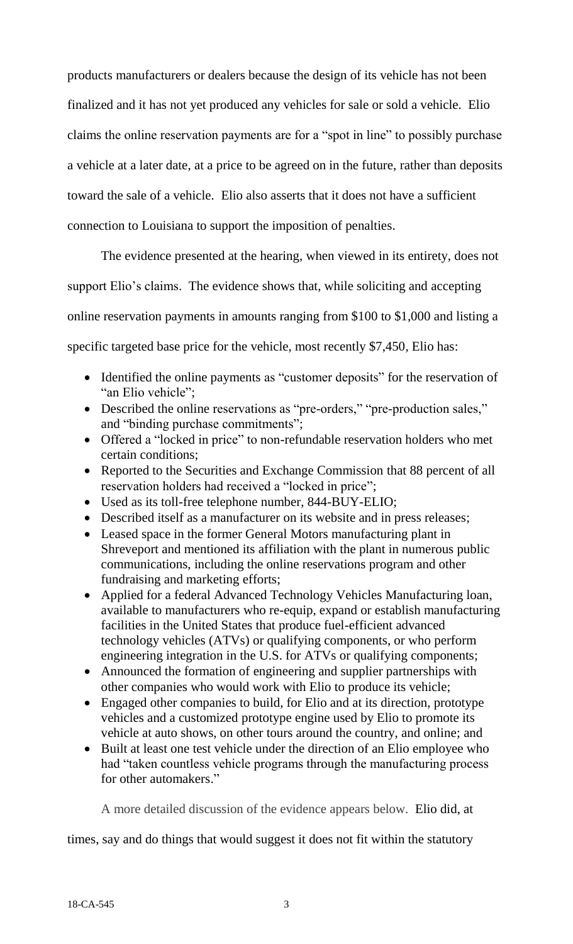products manufacturers or dealers because the design of its vehicle has not been finalized and it has not yet produced any vehicles for sale or sold a vehicle. Elio claims the online reservation payments are for a "spot in line" to possibly purchase a vehicle at a later date, at a price to be agreed on in the future, rather than deposits toward the sale of a vehicle. Elio also asserts that it does not have a sufficient connection to Louisiana to support the imposition of penalties.

The evidence presented at the hearing, when viewed in its entirety, does not support Elio's claims. The evidence shows that, while soliciting and accepting online reservation payments in amounts ranging from \$100 to \$1,000 and listing a specific targeted base price for the vehicle, most recently \$7,450, Elio has:

- Identified the online payments as "customer deposits" for the reservation of "an Elio vehicle";
- Described the online reservations as "pre-orders," "pre-production sales," and "binding purchase commitments";
- Offered a "locked in price" to non-refundable reservation holders who met certain conditions;
- Reported to the Securities and Exchange Commission that 88 percent of all reservation holders had received a "locked in price";
- Used as its toll-free telephone number, 844-BUY-ELIO;
- Described itself as a manufacturer on its website and in press releases;
- Leased space in the former General Motors manufacturing plant in Shreveport and mentioned its affiliation with the plant in numerous public communications, including the online reservations program and other fundraising and marketing efforts;
- Applied for a federal Advanced Technology Vehicles Manufacturing loan, available to manufacturers who re-equip, expand or establish manufacturing facilities in the United States that produce fuel-efficient advanced technology vehicles (ATVs) or qualifying components, or who perform engineering integration in the U.S. for ATVs or qualifying components;
- Announced the formation of engineering and supplier partnerships with other companies who would work with Elio to produce its vehicle;
- Engaged other companies to build, for Elio and at its direction, prototype vehicles and a customized prototype engine used by Elio to promote its vehicle at auto shows, on other tours around the country, and online; and
- Built at least one test vehicle under the direction of an Elio employee who had "taken countless vehicle programs through the manufacturing process for other automakers."

A more detailed discussion of the evidence appears below. Elio did, at

times, say and do things that would suggest it does not fit within the statutory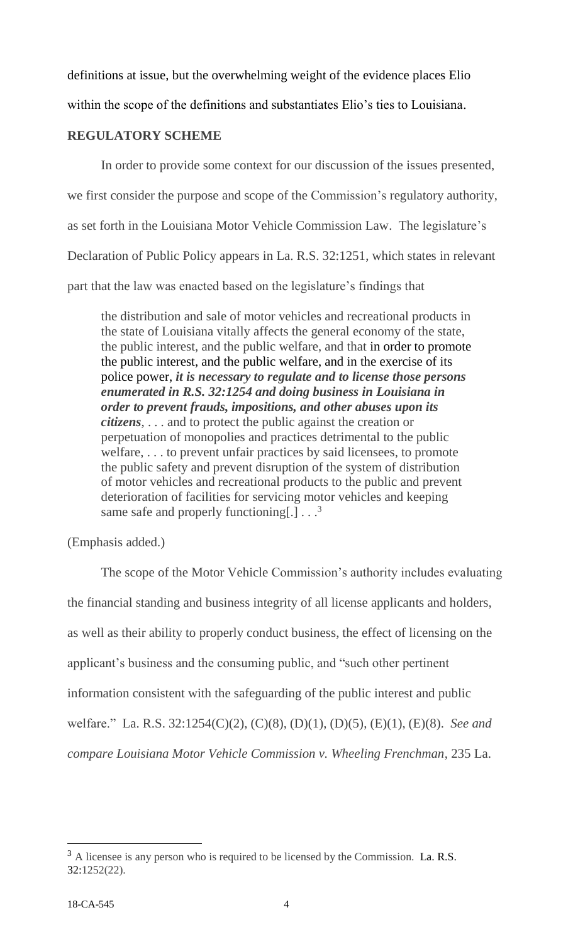definitions at issue, but the overwhelming weight of the evidence places Elio

within the scope of the definitions and substantiates Elio's ties to Louisiana.

# **REGULATORY SCHEME**

In order to provide some context for our discussion of the issues presented,

we first consider the purpose and scope of the Commission's regulatory authority,

as set forth in the Louisiana Motor Vehicle Commission Law. The legislature's

Declaration of Public Policy appears in La. R.S. 32:1251, which states in relevant

part that the law was enacted based on the legislature's findings that

the distribution and sale of motor vehicles and recreational products in the state of Louisiana vitally affects the general economy of the state, the public interest, and the public welfare, and that in order to promote the public interest, and the public welfare, and in the exercise of its police power, *it is necessary to regulate and to license those persons enumerated in R.S. 32:1254 and doing business in Louisiana in order to prevent frauds, impositions, and other abuses upon its citizens*, . . . and to protect the public against the creation or perpetuation of monopolies and practices detrimental to the public welfare, . . . to prevent unfair practices by said licensees, to promote the public safety and prevent disruption of the system of distribution of motor vehicles and recreational products to the public and prevent deterioration of facilities for servicing motor vehicles and keeping same safe and properly functioning[.]  $\ldots$ <sup>3</sup>

(Emphasis added.)

The scope of the Motor Vehicle Commission's authority includes evaluating

the financial standing and business integrity of all license applicants and holders,

as well as their ability to properly conduct business, the effect of licensing on the

applicant's business and the consuming public, and "such other pertinent

information consistent with the safeguarding of the public interest and public

welfare." La. R.S. 32:1254(C)(2), (C)(8), (D)(1), (D)(5), (E)(1), (E)(8). *See and* 

*compare Louisiana Motor Vehicle Commission v. Wheeling Frenchman*, 235 La.

 $3$  A licensee is any person who is required to be licensed by the Commission. La. R.S. 32:1252(22).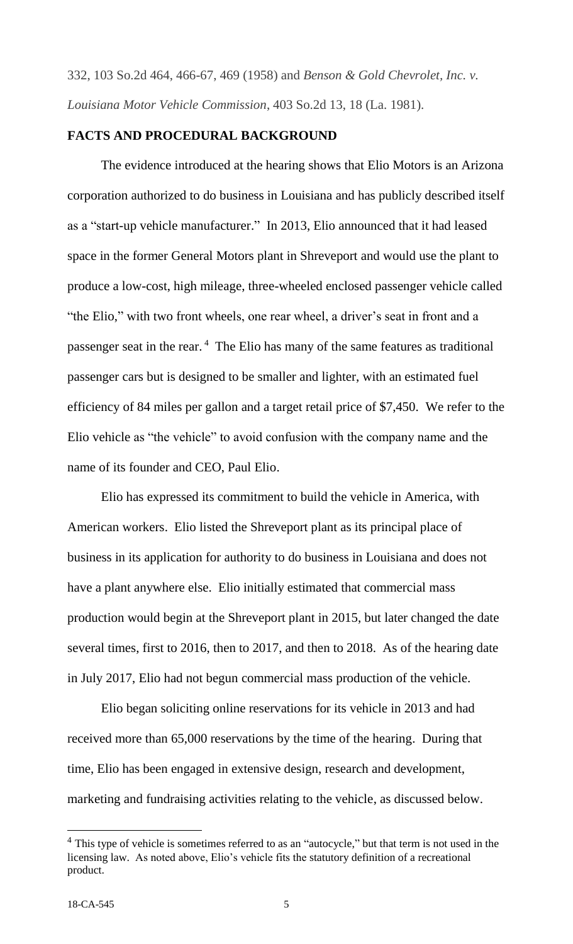332, 103 So.2d 464, 466-67, 469 (1958) and *Benson & Gold Chevrolet, Inc. v. Louisiana Motor Vehicle Commission*, 403 So.2d 13, 18 (La. 1981).

# **FACTS AND PROCEDURAL BACKGROUND**

The evidence introduced at the hearing shows that Elio Motors is an Arizona corporation authorized to do business in Louisiana and has publicly described itself as a "start-up vehicle manufacturer." In 2013, Elio announced that it had leased space in the former General Motors plant in Shreveport and would use the plant to produce a low-cost, high mileage, three-wheeled enclosed passenger vehicle called "the Elio," with two front wheels, one rear wheel, a driver's seat in front and a passenger seat in the rear.<sup>4</sup> The Elio has many of the same features as traditional passenger cars but is designed to be smaller and lighter, with an estimated fuel efficiency of 84 miles per gallon and a target retail price of \$7,450. We refer to the Elio vehicle as "the vehicle" to avoid confusion with the company name and the name of its founder and CEO, Paul Elio.

Elio has expressed its commitment to build the vehicle in America, with American workers. Elio listed the Shreveport plant as its principal place of business in its application for authority to do business in Louisiana and does not have a plant anywhere else. Elio initially estimated that commercial mass production would begin at the Shreveport plant in 2015, but later changed the date several times, first to 2016, then to 2017, and then to 2018. As of the hearing date in July 2017, Elio had not begun commercial mass production of the vehicle.

Elio began soliciting online reservations for its vehicle in 2013 and had received more than 65,000 reservations by the time of the hearing. During that time, Elio has been engaged in extensive design, research and development, marketing and fundraising activities relating to the vehicle, as discussed below.

<sup>&</sup>lt;sup>4</sup> This type of vehicle is sometimes referred to as an "autocycle," but that term is not used in the licensing law. As noted above, Elio's vehicle fits the statutory definition of a recreational product.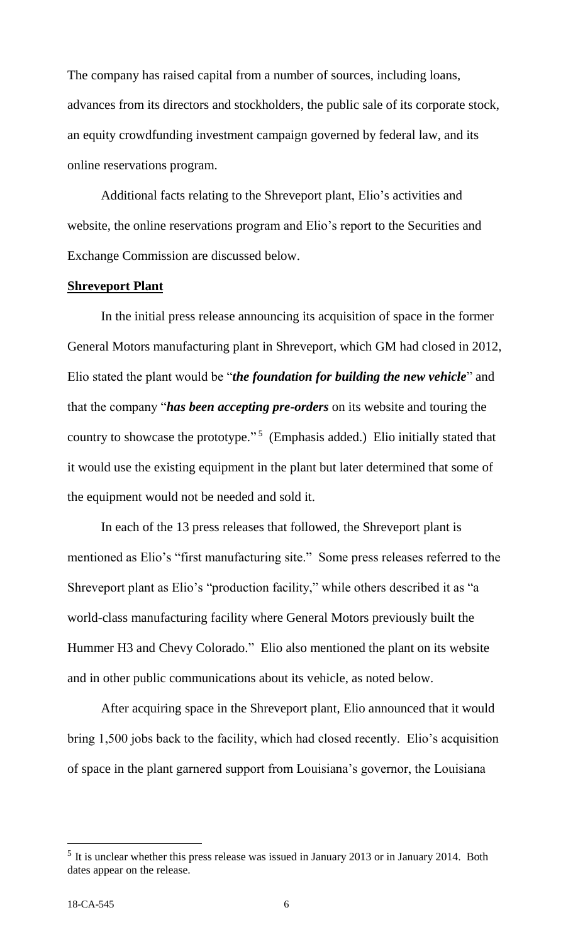The company has raised capital from a number of sources, including loans, advances from its directors and stockholders, the public sale of its corporate stock, an equity crowdfunding investment campaign governed by federal law, and its online reservations program.

Additional facts relating to the Shreveport plant, Elio's activities and website, the online reservations program and Elio's report to the Securities and Exchange Commission are discussed below.

# **Shreveport Plant**

In the initial press release announcing its acquisition of space in the former General Motors manufacturing plant in Shreveport, which GM had closed in 2012, Elio stated the plant would be "*the foundation for building the new vehicle*" and that the company "*has been accepting pre-orders* on its website and touring the country to showcase the prototype." 5 (Emphasis added.) Elio initially stated that it would use the existing equipment in the plant but later determined that some of the equipment would not be needed and sold it.

In each of the 13 press releases that followed, the Shreveport plant is mentioned as Elio's "first manufacturing site." Some press releases referred to the Shreveport plant as Elio's "production facility," while others described it as "a world-class manufacturing facility where General Motors previously built the Hummer H3 and Chevy Colorado." Elio also mentioned the plant on its website and in other public communications about its vehicle, as noted below.

After acquiring space in the Shreveport plant, Elio announced that it would bring 1,500 jobs back to the facility, which had closed recently. Elio's acquisition of space in the plant garnered support from Louisiana's governor, the Louisiana

 $<sup>5</sup>$  It is unclear whether this press release was issued in January 2013 or in January 2014. Both</sup> dates appear on the release.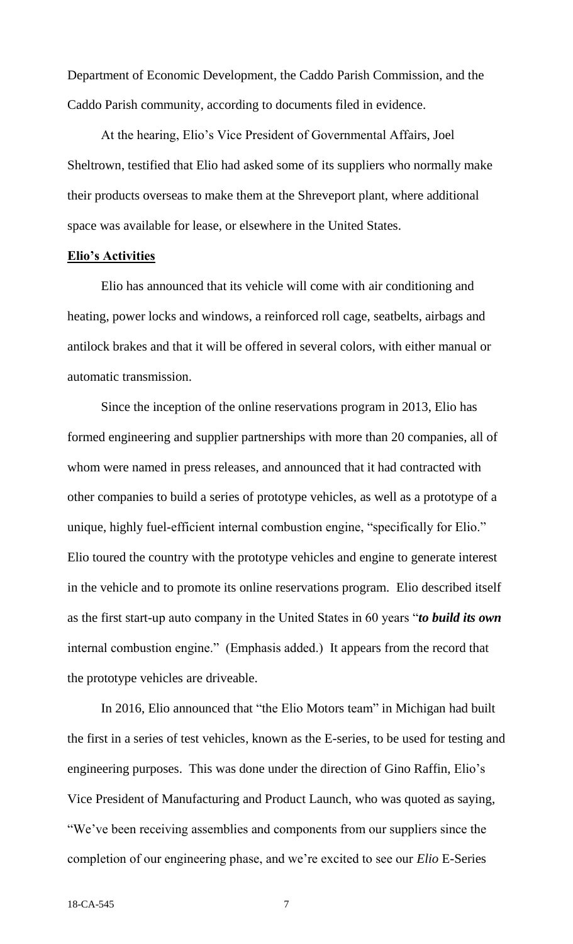Department of Economic Development, the Caddo Parish Commission, and the Caddo Parish community, according to documents filed in evidence.

At the hearing, Elio's Vice President of Governmental Affairs, Joel Sheltrown, testified that Elio had asked some of its suppliers who normally make their products overseas to make them at the Shreveport plant, where additional space was available for lease, or elsewhere in the United States.

## **Elio's Activities**

Elio has announced that its vehicle will come with air conditioning and heating, power locks and windows, a reinforced roll cage, seatbelts, airbags and antilock brakes and that it will be offered in several colors, with either manual or automatic transmission.

Since the inception of the online reservations program in 2013, Elio has formed engineering and supplier partnerships with more than 20 companies, all of whom were named in press releases, and announced that it had contracted with other companies to build a series of prototype vehicles, as well as a prototype of a unique, highly fuel-efficient internal combustion engine, "specifically for Elio." Elio toured the country with the prototype vehicles and engine to generate interest in the vehicle and to promote its online reservations program. Elio described itself as the first start-up auto company in the United States in 60 years "*to build its own* internal combustion engine." (Emphasis added.) It appears from the record that the prototype vehicles are driveable.

In 2016, Elio announced that "the Elio Motors team" in Michigan had built the first in a series of test vehicles, known as the E-series, to be used for testing and engineering purposes. This was done under the direction of Gino Raffin, Elio's Vice President of Manufacturing and Product Launch, who was quoted as saying, "We've been receiving assemblies and components from our suppliers since the completion of our engineering phase, and we're excited to see our *Elio* E-Series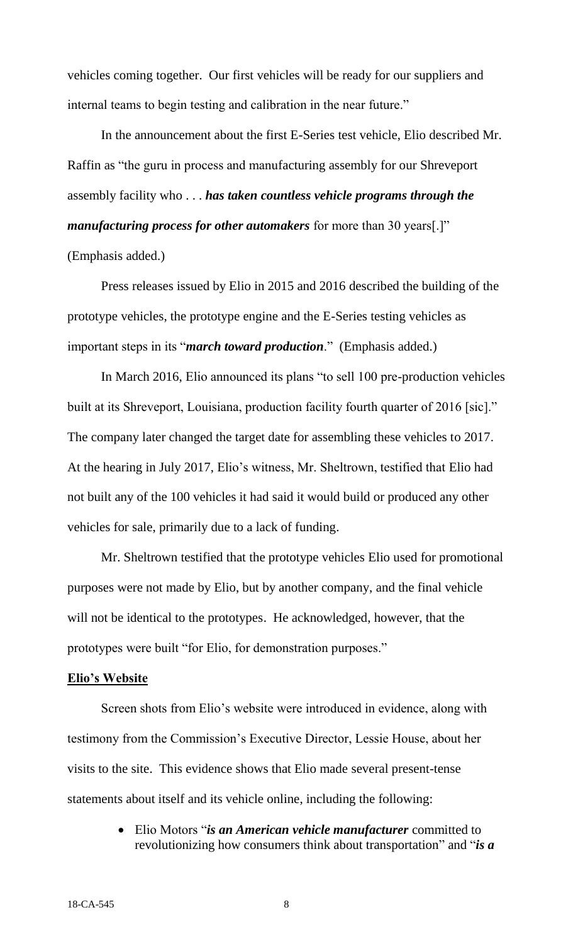vehicles coming together. Our first vehicles will be ready for our suppliers and internal teams to begin testing and calibration in the near future."

In the announcement about the first E-Series test vehicle, Elio described Mr. Raffin as "the guru in process and manufacturing assembly for our Shreveport assembly facility who . . . *has taken countless vehicle programs through the manufacturing process for other automakers* for more than 30 years[.]" (Emphasis added.)

Press releases issued by Elio in 2015 and 2016 described the building of the prototype vehicles, the prototype engine and the E-Series testing vehicles as important steps in its "*march toward production*." (Emphasis added.)

In March 2016, Elio announced its plans "to sell 100 pre-production vehicles built at its Shreveport, Louisiana, production facility fourth quarter of 2016 [sic]." The company later changed the target date for assembling these vehicles to 2017. At the hearing in July 2017, Elio's witness, Mr. Sheltrown, testified that Elio had not built any of the 100 vehicles it had said it would build or produced any other vehicles for sale, primarily due to a lack of funding.

Mr. Sheltrown testified that the prototype vehicles Elio used for promotional purposes were not made by Elio, but by another company, and the final vehicle will not be identical to the prototypes. He acknowledged, however, that the prototypes were built "for Elio, for demonstration purposes."

#### **Elio's Website**

Screen shots from Elio's website were introduced in evidence, along with testimony from the Commission's Executive Director, Lessie House, about her visits to the site. This evidence shows that Elio made several present-tense statements about itself and its vehicle online, including the following:

> Elio Motors "*is an American vehicle manufacturer* committed to revolutionizing how consumers think about transportation" and "*is a*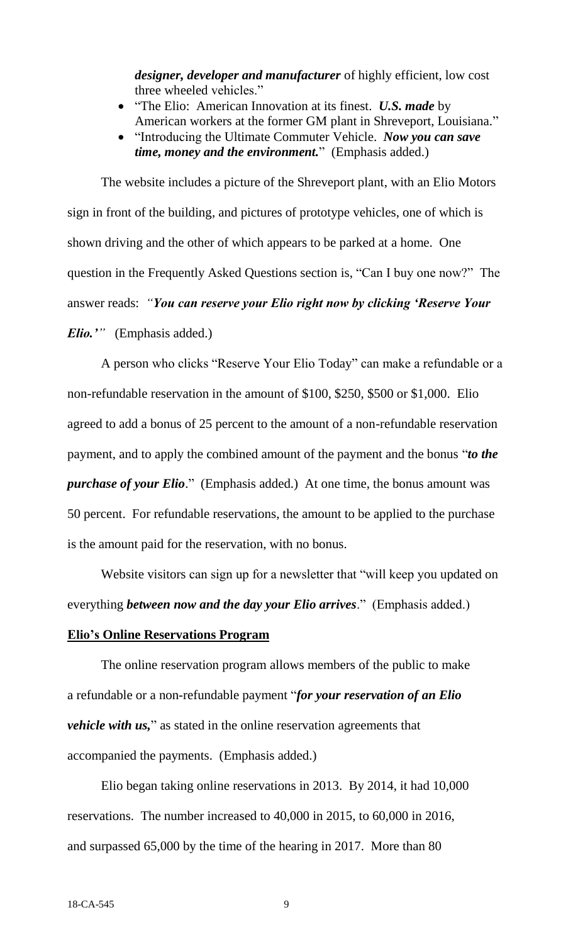*designer, developer and manufacturer* of highly efficient, low cost three wheeled vehicles."

- "The Elio: American Innovation at its finest. U.S. made by American workers at the former GM plant in Shreveport, Louisiana."
- "Introducing the Ultimate Commuter Vehicle. *Now you can save time, money and the environment.*" (Emphasis added.)

The website includes a picture of the Shreveport plant, with an Elio Motors sign in front of the building, and pictures of prototype vehicles, one of which is shown driving and the other of which appears to be parked at a home. One question in the Frequently Asked Questions section is, "Can I buy one now?" The answer reads: *"You can reserve your Elio right now by clicking 'Reserve Your Elio.'"* (Emphasis added.)

A person who clicks "Reserve Your Elio Today" can make a refundable or a non-refundable reservation in the amount of \$100, \$250, \$500 or \$1,000. Elio agreed to add a bonus of 25 percent to the amount of a non-refundable reservation payment, and to apply the combined amount of the payment and the bonus "*to the purchase of your Elio*." (Emphasis added.) At one time, the bonus amount was 50 percent. For refundable reservations, the amount to be applied to the purchase is the amount paid for the reservation, with no bonus.

Website visitors can sign up for a newsletter that "will keep you updated on everything *between now and the day your Elio arrives*." (Emphasis added.) **Elio's Online Reservations Program**

The online reservation program allows members of the public to make a refundable or a non-refundable payment "*for your reservation of an Elio vehicle with us,*" as stated in the online reservation agreements that accompanied the payments. (Emphasis added.)

Elio began taking online reservations in 2013. By 2014, it had 10,000 reservations. The number increased to 40,000 in 2015, to 60,000 in 2016, and surpassed 65,000 by the time of the hearing in 2017. More than 80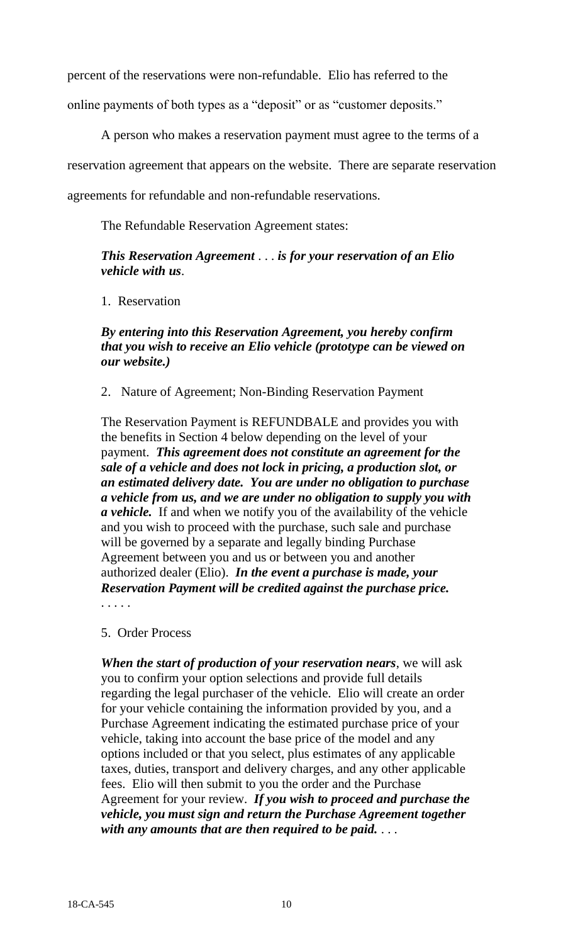percent of the reservations were non-refundable. Elio has referred to the

online payments of both types as a "deposit" or as "customer deposits."

A person who makes a reservation payment must agree to the terms of a

reservation agreement that appears on the website. There are separate reservation

agreements for refundable and non-refundable reservations.

The Refundable Reservation Agreement states:

# *This Reservation Agreement* . . . *is for your reservation of an Elio vehicle with us*.

1. Reservation

# *By entering into this Reservation Agreement, you hereby confirm that you wish to receive an Elio vehicle (prototype can be viewed on our website.)*

2. Nature of Agreement; Non-Binding Reservation Payment

The Reservation Payment is REFUNDBALE and provides you with the benefits in Section 4 below depending on the level of your payment. *This agreement does not constitute an agreement for the sale of a vehicle and does not lock in pricing, a production slot, or an estimated delivery date. You are under no obligation to purchase a vehicle from us, and we are under no obligation to supply you with a vehicle.* If and when we notify you of the availability of the vehicle and you wish to proceed with the purchase, such sale and purchase will be governed by a separate and legally binding Purchase Agreement between you and us or between you and another authorized dealer (Elio). *In the event a purchase is made, your Reservation Payment will be credited against the purchase price.* . . . . .

- 
- 5. Order Process

*When the start of production of your reservation nears*, we will ask you to confirm your option selections and provide full details regarding the legal purchaser of the vehicle. Elio will create an order for your vehicle containing the information provided by you, and a Purchase Agreement indicating the estimated purchase price of your vehicle, taking into account the base price of the model and any options included or that you select, plus estimates of any applicable taxes, duties, transport and delivery charges, and any other applicable fees. Elio will then submit to you the order and the Purchase Agreement for your review. *If you wish to proceed and purchase the vehicle, you must sign and return the Purchase Agreement together with any amounts that are then required to be paid.* . . .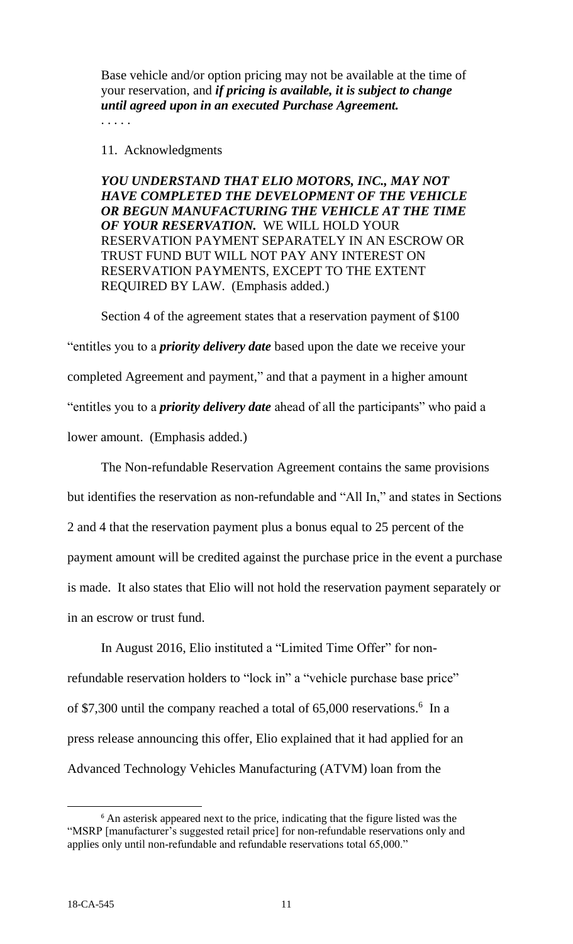Base vehicle and/or option pricing may not be available at the time of your reservation, and *if pricing is available, it is subject to change until agreed upon in an executed Purchase Agreement.*

# 11. Acknowledgments

*YOU UNDERSTAND THAT ELIO MOTORS, INC., MAY NOT HAVE COMPLETED THE DEVELOPMENT OF THE VEHICLE OR BEGUN MANUFACTURING THE VEHICLE AT THE TIME OF YOUR RESERVATION.* WE WILL HOLD YOUR RESERVATION PAYMENT SEPARATELY IN AN ESCROW OR TRUST FUND BUT WILL NOT PAY ANY INTEREST ON RESERVATION PAYMENTS, EXCEPT TO THE EXTENT REQUIRED BY LAW. (Emphasis added.)

Section 4 of the agreement states that a reservation payment of \$100 "entitles you to a *priority delivery date* based upon the date we receive your completed Agreement and payment," and that a payment in a higher amount "entitles you to a *priority delivery date* ahead of all the participants" who paid a lower amount. (Emphasis added.)

The Non-refundable Reservation Agreement contains the same provisions but identifies the reservation as non-refundable and "All In," and states in Sections 2 and 4 that the reservation payment plus a bonus equal to 25 percent of the payment amount will be credited against the purchase price in the event a purchase is made. It also states that Elio will not hold the reservation payment separately or in an escrow or trust fund.

In August 2016, Elio instituted a "Limited Time Offer" for nonrefundable reservation holders to "lock in" a "vehicle purchase base price" of \$7,300 until the company reached a total of 65,000 reservations.<sup>6</sup> In a press release announcing this offer, Elio explained that it had applied for an Advanced Technology Vehicles Manufacturing (ATVM) loan from the

l <sup>6</sup> An asterisk appeared next to the price, indicating that the figure listed was the "MSRP [manufacturer's suggested retail price] for non-refundable reservations only and applies only until non-refundable and refundable reservations total 65,000."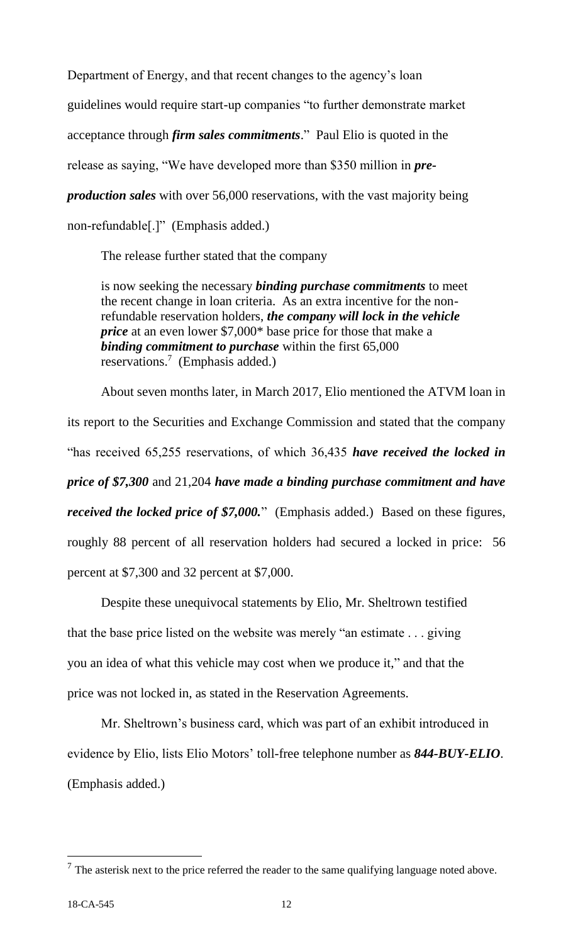Department of Energy, and that recent changes to the agency's loan

guidelines would require start-up companies "to further demonstrate market

acceptance through *firm sales commitments*." Paul Elio is quoted in the

release as saying, "We have developed more than \$350 million in *pre-*

*production sales* with over 56,000 reservations, with the vast majority being

non-refundable[.]" (Emphasis added.)

The release further stated that the company

is now seeking the necessary *binding purchase commitments* to meet the recent change in loan criteria. As an extra incentive for the nonrefundable reservation holders, *the company will lock in the vehicle price* at an even lower \$7,000\* base price for those that make a *binding commitment to purchase* within the first 65,000 reservations.<sup>7</sup> (Emphasis added.)

About seven months later, in March 2017, Elio mentioned the ATVM loan in its report to the Securities and Exchange Commission and stated that the company "has received 65,255 reservations, of which 36,435 *have received the locked in price of \$7,300* and 21,204 *have made a binding purchase commitment and have received the locked price of \$7,000.*" (Emphasis added.) Based on these figures, roughly 88 percent of all reservation holders had secured a locked in price: 56 percent at \$7,300 and 32 percent at \$7,000.

Despite these unequivocal statements by Elio, Mr. Sheltrown testified that the base price listed on the website was merely "an estimate . . . giving you an idea of what this vehicle may cost when we produce it," and that the price was not locked in, as stated in the Reservation Agreements.

Mr. Sheltrown's business card, which was part of an exhibit introduced in evidence by Elio, lists Elio Motors' toll-free telephone number as *844-BUY-ELIO*. (Emphasis added.)

 $<sup>7</sup>$  The asterisk next to the price referred the reader to the same qualifying language noted above.</sup>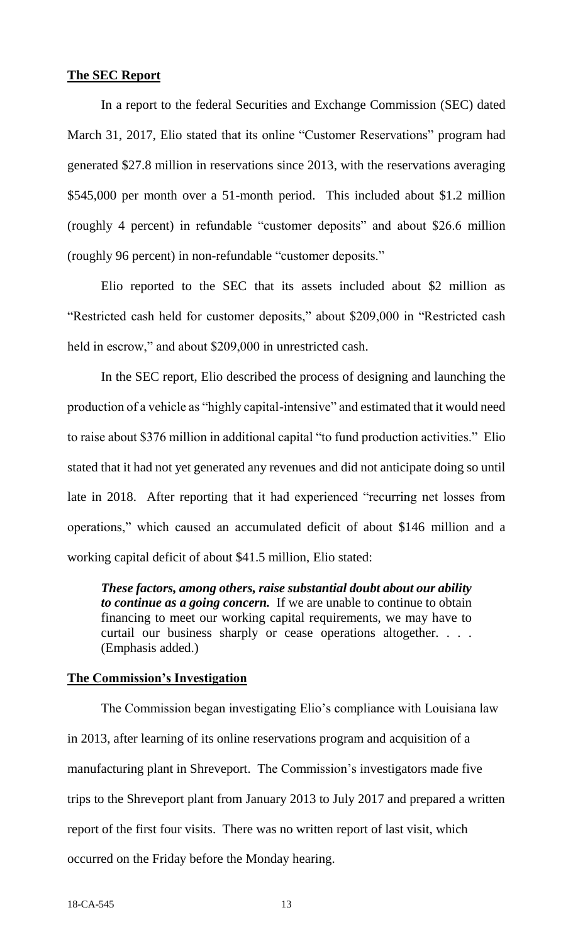# **The SEC Report**

In a report to the federal Securities and Exchange Commission (SEC) dated March 31, 2017, Elio stated that its online "Customer Reservations" program had generated \$27.8 million in reservations since 2013, with the reservations averaging \$545,000 per month over a 51-month period. This included about \$1.2 million (roughly 4 percent) in refundable "customer deposits" and about \$26.6 million (roughly 96 percent) in non-refundable "customer deposits."

Elio reported to the SEC that its assets included about \$2 million as "Restricted cash held for customer deposits," about \$209,000 in "Restricted cash held in escrow," and about \$209,000 in unrestricted cash.

In the SEC report, Elio described the process of designing and launching the production of a vehicle as "highly capital-intensive" and estimated that it would need to raise about \$376 million in additional capital "to fund production activities." Elio stated that it had not yet generated any revenues and did not anticipate doing so until late in 2018. After reporting that it had experienced "recurring net losses from operations," which caused an accumulated deficit of about \$146 million and a working capital deficit of about \$41.5 million, Elio stated:

*These factors, among others, raise substantial doubt about our ability to continue as a going concern.* If we are unable to continue to obtain financing to meet our working capital requirements, we may have to curtail our business sharply or cease operations altogether. . . . (Emphasis added.)

# **The Commission's Investigation**

The Commission began investigating Elio's compliance with Louisiana law in 2013, after learning of its online reservations program and acquisition of a manufacturing plant in Shreveport. The Commission's investigators made five trips to the Shreveport plant from January 2013 to July 2017 and prepared a written report of the first four visits. There was no written report of last visit, which occurred on the Friday before the Monday hearing.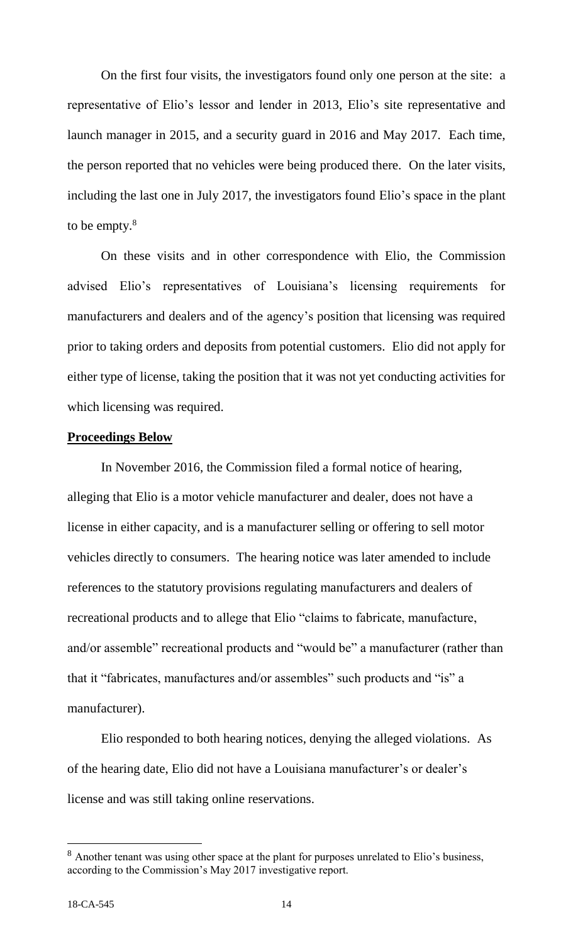On the first four visits, the investigators found only one person at the site: a representative of Elio's lessor and lender in 2013, Elio's site representative and launch manager in 2015, and a security guard in 2016 and May 2017. Each time, the person reported that no vehicles were being produced there. On the later visits, including the last one in July 2017, the investigators found Elio's space in the plant to be empty.<sup>8</sup>

On these visits and in other correspondence with Elio, the Commission advised Elio's representatives of Louisiana's licensing requirements for manufacturers and dealers and of the agency's position that licensing was required prior to taking orders and deposits from potential customers. Elio did not apply for either type of license, taking the position that it was not yet conducting activities for which licensing was required.

# **Proceedings Below**

In November 2016, the Commission filed a formal notice of hearing, alleging that Elio is a motor vehicle manufacturer and dealer, does not have a license in either capacity, and is a manufacturer selling or offering to sell motor vehicles directly to consumers. The hearing notice was later amended to include references to the statutory provisions regulating manufacturers and dealers of recreational products and to allege that Elio "claims to fabricate, manufacture, and/or assemble" recreational products and "would be" a manufacturer (rather than that it "fabricates, manufactures and/or assembles" such products and "is" a manufacturer).

Elio responded to both hearing notices, denying the alleged violations. As of the hearing date, Elio did not have a Louisiana manufacturer's or dealer's license and was still taking online reservations.

<sup>&</sup>lt;sup>8</sup> Another tenant was using other space at the plant for purposes unrelated to Elio's business, according to the Commission's May 2017 investigative report.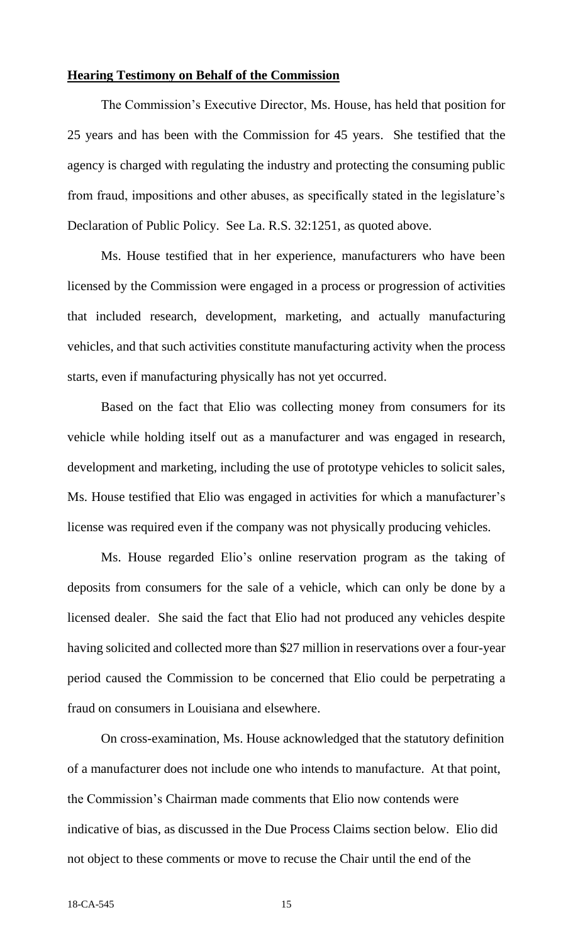#### **Hearing Testimony on Behalf of the Commission**

The Commission's Executive Director, Ms. House, has held that position for 25 years and has been with the Commission for 45 years. She testified that the agency is charged with regulating the industry and protecting the consuming public from fraud, impositions and other abuses, as specifically stated in the legislature's Declaration of Public Policy. See La. R.S. 32:1251, as quoted above.

Ms. House testified that in her experience, manufacturers who have been licensed by the Commission were engaged in a process or progression of activities that included research, development, marketing, and actually manufacturing vehicles, and that such activities constitute manufacturing activity when the process starts, even if manufacturing physically has not yet occurred.

Based on the fact that Elio was collecting money from consumers for its vehicle while holding itself out as a manufacturer and was engaged in research, development and marketing, including the use of prototype vehicles to solicit sales, Ms. House testified that Elio was engaged in activities for which a manufacturer's license was required even if the company was not physically producing vehicles.

Ms. House regarded Elio's online reservation program as the taking of deposits from consumers for the sale of a vehicle, which can only be done by a licensed dealer. She said the fact that Elio had not produced any vehicles despite having solicited and collected more than \$27 million in reservations over a four-year period caused the Commission to be concerned that Elio could be perpetrating a fraud on consumers in Louisiana and elsewhere.

On cross-examination, Ms. House acknowledged that the statutory definition of a manufacturer does not include one who intends to manufacture. At that point, the Commission's Chairman made comments that Elio now contends were indicative of bias, as discussed in the Due Process Claims section below. Elio did not object to these comments or move to recuse the Chair until the end of the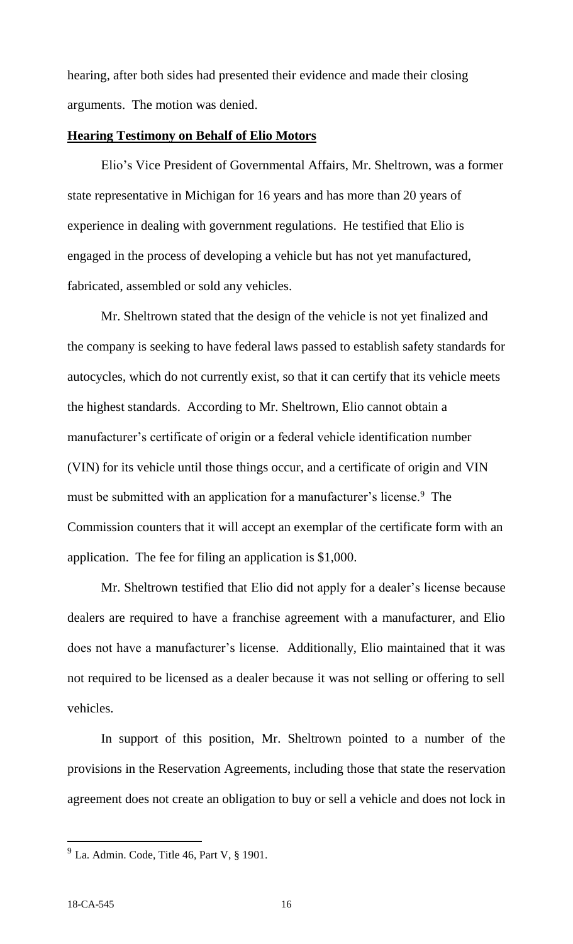hearing, after both sides had presented their evidence and made their closing arguments. The motion was denied.

# **Hearing Testimony on Behalf of Elio Motors**

Elio's Vice President of Governmental Affairs, Mr. Sheltrown, was a former state representative in Michigan for 16 years and has more than 20 years of experience in dealing with government regulations. He testified that Elio is engaged in the process of developing a vehicle but has not yet manufactured, fabricated, assembled or sold any vehicles.

Mr. Sheltrown stated that the design of the vehicle is not yet finalized and the company is seeking to have federal laws passed to establish safety standards for autocycles, which do not currently exist, so that it can certify that its vehicle meets the highest standards. According to Mr. Sheltrown, Elio cannot obtain a manufacturer's certificate of origin or a federal vehicle identification number (VIN) for its vehicle until those things occur, and a certificate of origin and VIN must be submitted with an application for a manufacturer's license.<sup>9</sup> The Commission counters that it will accept an exemplar of the certificate form with an application. The fee for filing an application is \$1,000.

Mr. Sheltrown testified that Elio did not apply for a dealer's license because dealers are required to have a franchise agreement with a manufacturer, and Elio does not have a manufacturer's license. Additionally, Elio maintained that it was not required to be licensed as a dealer because it was not selling or offering to sell vehicles.

In support of this position, Mr. Sheltrown pointed to a number of the provisions in the Reservation Agreements, including those that state the reservation agreement does not create an obligation to buy or sell a vehicle and does not lock in

 $9$  La. Admin. Code, Title 46, Part V,  $§$  1901.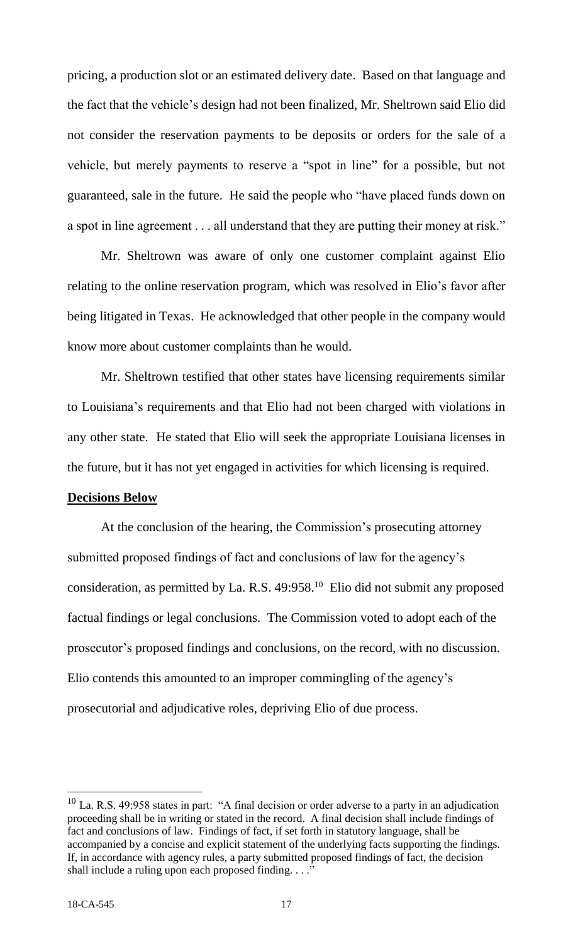pricing, a production slot or an estimated delivery date. Based on that language and the fact that the vehicle's design had not been finalized, Mr. Sheltrown said Elio did not consider the reservation payments to be deposits or orders for the sale of a vehicle, but merely payments to reserve a "spot in line" for a possible, but not guaranteed, sale in the future. He said the people who "have placed funds down on a spot in line agreement . . . all understand that they are putting their money at risk."

Mr. Sheltrown was aware of only one customer complaint against Elio relating to the online reservation program, which was resolved in Elio's favor after being litigated in Texas. He acknowledged that other people in the company would know more about customer complaints than he would.

Mr. Sheltrown testified that other states have licensing requirements similar to Louisiana's requirements and that Elio had not been charged with violations in any other state. He stated that Elio will seek the appropriate Louisiana licenses in the future, but it has not yet engaged in activities for which licensing is required.

# **Decisions Below**

At the conclusion of the hearing, the Commission's prosecuting attorney submitted proposed findings of fact and conclusions of law for the agency's consideration, as permitted by La. R.S.  $49:958$ <sup>10</sup> Elio did not submit any proposed factual findings or legal conclusions. The Commission voted to adopt each of the prosecutor's proposed findings and conclusions, on the record, with no discussion. Elio contends this amounted to an improper commingling of the agency's prosecutorial and adjudicative roles, depriving Elio of due process.

l

<sup>&</sup>lt;sup>10</sup> La. R.S. 49:958 states in part: "A final decision or order adverse to a party in an adjudication proceeding shall be in writing or stated in the record. A final decision shall include findings of fact and conclusions of law. Findings of fact, if set forth in statutory language, shall be accompanied by a concise and explicit statement of the underlying facts supporting the findings. If, in accordance with agency rules, a party submitted proposed findings of fact, the decision shall include a ruling upon each proposed finding.  $\ldots$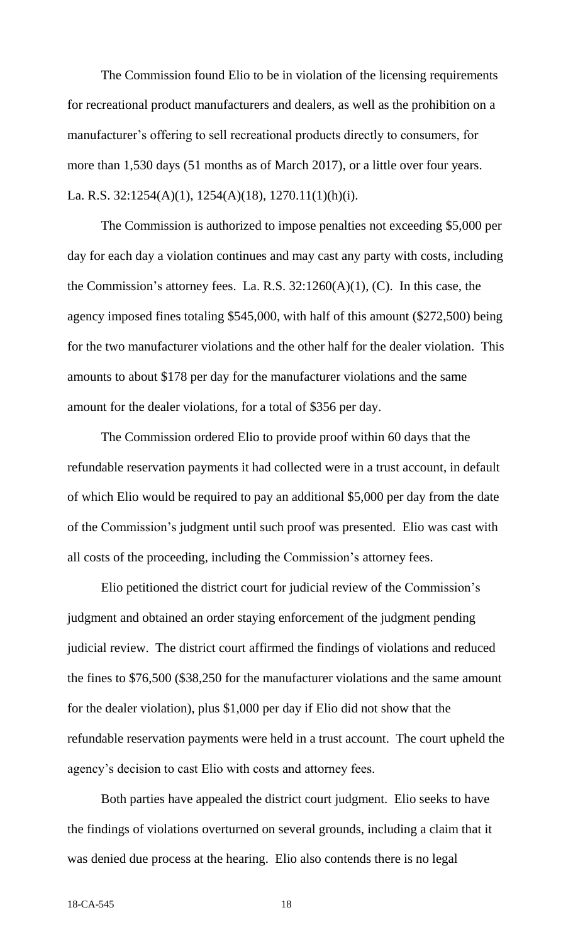The Commission found Elio to be in violation of the licensing requirements for recreational product manufacturers and dealers, as well as the prohibition on a manufacturer's offering to sell recreational products directly to consumers, for more than 1,530 days (51 months as of March 2017), or a little over four years. La. R.S. 32:1254(A)(1), 1254(A)(18), 1270.11(1)(h)(i).

The Commission is authorized to impose penalties not exceeding \$5,000 per day for each day a violation continues and may cast any party with costs, including the Commission's attorney fees. La. R.S.  $32:1260(A)(1)$ , (C). In this case, the agency imposed fines totaling \$545,000, with half of this amount (\$272,500) being for the two manufacturer violations and the other half for the dealer violation. This amounts to about \$178 per day for the manufacturer violations and the same amount for the dealer violations, for a total of \$356 per day.

The Commission ordered Elio to provide proof within 60 days that the refundable reservation payments it had collected were in a trust account, in default of which Elio would be required to pay an additional \$5,000 per day from the date of the Commission's judgment until such proof was presented. Elio was cast with all costs of the proceeding, including the Commission's attorney fees.

Elio petitioned the district court for judicial review of the Commission's judgment and obtained an order staying enforcement of the judgment pending judicial review.The district court affirmed the findings of violations and reduced the fines to \$76,500 (\$38,250 for the manufacturer violations and the same amount for the dealer violation), plus \$1,000 per day if Elio did not show that the refundable reservation payments were held in a trust account. The court upheld the agency's decision to cast Elio with costs and attorney fees.

Both parties have appealed the district court judgment. Elio seeks to have the findings of violations overturned on several grounds, including a claim that it was denied due process at the hearing. Elio also contends there is no legal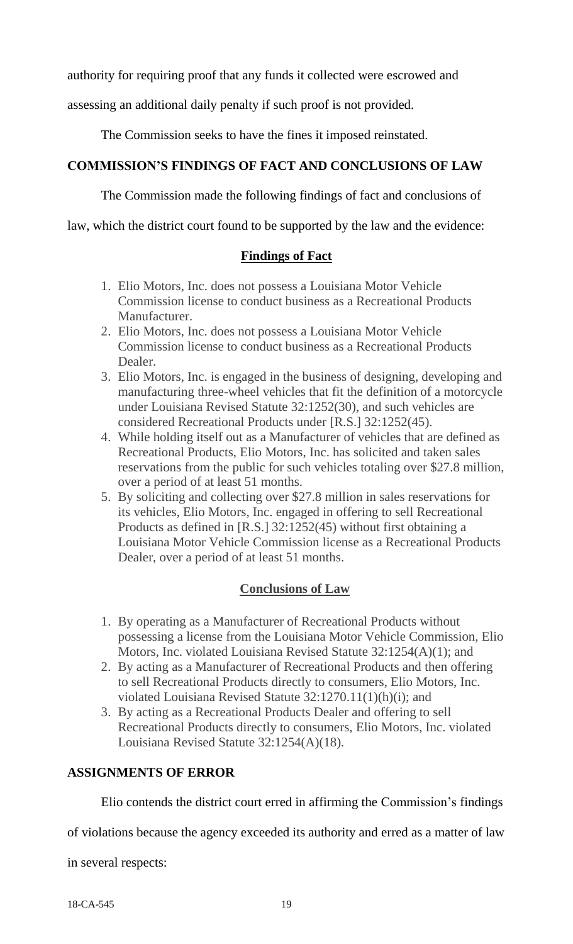authority for requiring proof that any funds it collected were escrowed and

assessing an additional daily penalty if such proof is not provided.

The Commission seeks to have the fines it imposed reinstated.

# **COMMISSION'S FINDINGS OF FACT AND CONCLUSIONS OF LAW**

The Commission made the following findings of fact and conclusions of

law, which the district court found to be supported by the law and the evidence:

# **Findings of Fact**

- 1. Elio Motors, Inc. does not possess a Louisiana Motor Vehicle Commission license to conduct business as a Recreational Products Manufacturer.
- 2. Elio Motors, Inc. does not possess a Louisiana Motor Vehicle Commission license to conduct business as a Recreational Products Dealer.
- 3. Elio Motors, Inc. is engaged in the business of designing, developing and manufacturing three-wheel vehicles that fit the definition of a motorcycle under Louisiana Revised Statute 32:1252(30), and such vehicles are considered Recreational Products under [R.S.] 32:1252(45).
- 4. While holding itself out as a Manufacturer of vehicles that are defined as Recreational Products, Elio Motors, Inc. has solicited and taken sales reservations from the public for such vehicles totaling over \$27.8 million, over a period of at least 51 months.
- 5. By soliciting and collecting over \$27.8 million in sales reservations for its vehicles, Elio Motors, Inc. engaged in offering to sell Recreational Products as defined in [R.S.] 32:1252(45) without first obtaining a Louisiana Motor Vehicle Commission license as a Recreational Products Dealer, over a period of at least 51 months.

# **Conclusions of Law**

- 1. By operating as a Manufacturer of Recreational Products without possessing a license from the Louisiana Motor Vehicle Commission, Elio Motors, Inc. violated Louisiana Revised Statute 32:1254(A)(1); and
- 2. By acting as a Manufacturer of Recreational Products and then offering to sell Recreational Products directly to consumers, Elio Motors, Inc. violated Louisiana Revised Statute 32:1270.11(1)(h)(i); and
- 3. By acting as a Recreational Products Dealer and offering to sell Recreational Products directly to consumers, Elio Motors, Inc. violated Louisiana Revised Statute 32:1254(A)(18).

# **ASSIGNMENTS OF ERROR**

Elio contends the district court erred in affirming the Commission's findings

of violations because the agency exceeded its authority and erred as a matter of law

in several respects: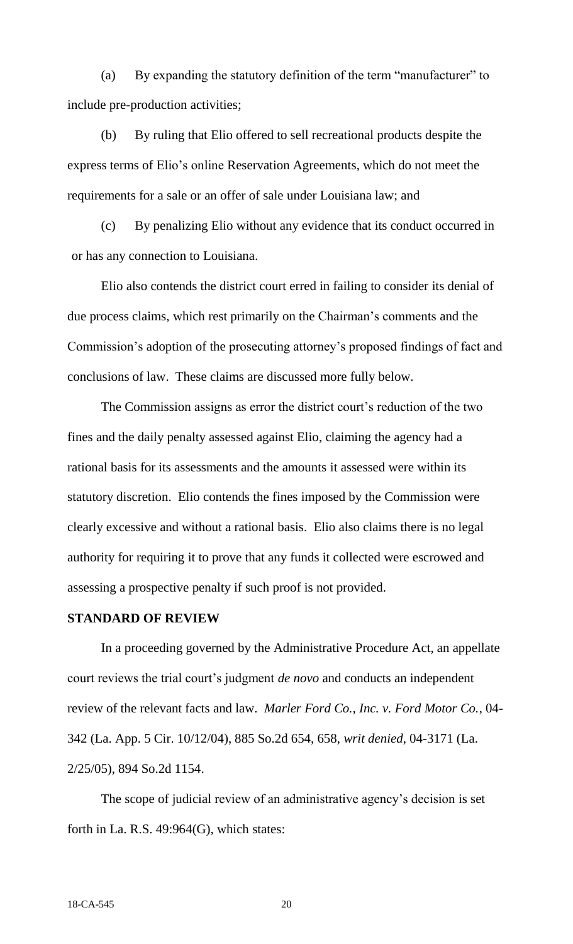(a) By expanding the statutory definition of the term "manufacturer" to include pre-production activities;

(b) By ruling that Elio offered to sell recreational products despite the express terms of Elio's online Reservation Agreements, which do not meet the requirements for a sale or an offer of sale under Louisiana law; and

(c) By penalizing Elio without any evidence that its conduct occurred in or has any connection to Louisiana.

Elio also contends the district court erred in failing to consider its denial of due process claims, which rest primarily on the Chairman's comments and the Commission's adoption of the prosecuting attorney's proposed findings of fact and conclusions of law. These claims are discussed more fully below.

The Commission assigns as error the district court's reduction of the two fines and the daily penalty assessed against Elio, claiming the agency had a rational basis for its assessments and the amounts it assessed were within its statutory discretion. Elio contends the fines imposed by the Commission were clearly excessive and without a rational basis. Elio also claims there is no legal authority for requiring it to prove that any funds it collected were escrowed and assessing a prospective penalty if such proof is not provided.

#### **STANDARD OF REVIEW**

In a proceeding governed by the Administrative Procedure Act, an appellate court reviews the trial court's judgment *de novo* and conducts an independent review of the relevant facts and law. *Marler Ford Co., Inc. v. Ford Motor Co.*, 04- 342 (La. App. 5 Cir. 10/12/04), 885 So.2d 654, 658, *writ denied*, 04-3171 (La. 2/25/05), 894 So.2d 1154.

The scope of judicial review of an administrative agency's decision is set forth in La. R.S. 49:964(G), which states: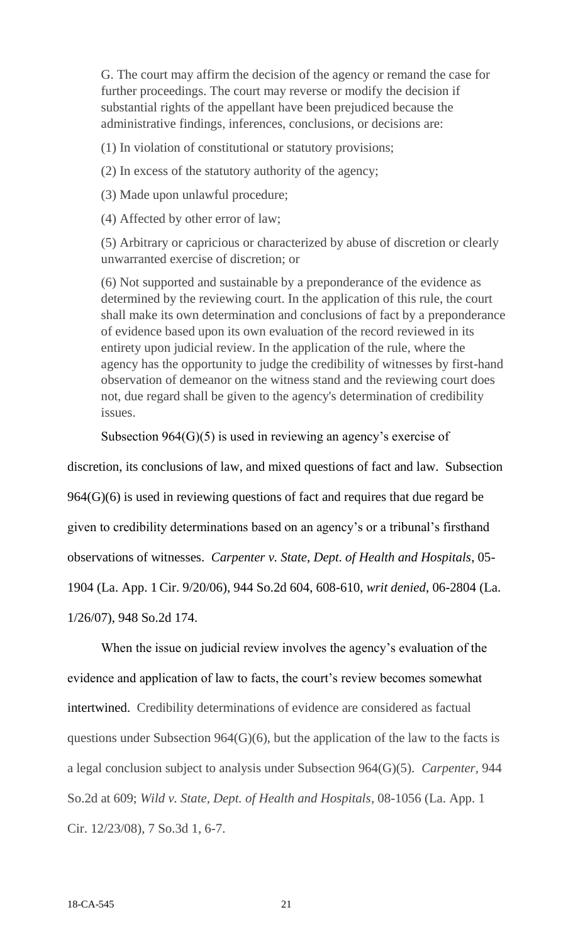G. The court may affirm the decision of the agency or remand the case for further proceedings. The court may reverse or modify the decision if substantial rights of the appellant have been prejudiced because the administrative findings, inferences, conclusions, or decisions are:

(1) In violation of constitutional or statutory provisions;

(2) In excess of the statutory authority of the agency;

(3) Made upon unlawful procedure;

(4) Affected by other error of law;

(5) Arbitrary or capricious or characterized by abuse of discretion or clearly unwarranted exercise of discretion; or

(6) Not supported and sustainable by a preponderance of the evidence as determined by the reviewing court. In the application of this rule, the court shall make its own determination and conclusions of fact by a preponderance of evidence based upon its own evaluation of the record reviewed in its entirety upon judicial review. In the application of the rule, where the agency has the opportunity to judge the credibility of witnesses by first-hand observation of demeanor on the witness stand and the reviewing court does not, due regard shall be given to the agency's determination of credibility issues.

Subsection 964(G)(5) is used in reviewing an agency's exercise of

discretion, its conclusions of law, and mixed questions of fact and law. Subsection

964(G)(6) is used in reviewing questions of fact and requires that due regard be

given to credibility determinations based on an agency's or a tribunal's firsthand

observations of witnesses. *Carpenter v. State, Dept. of Health and Hospitals*, 05-

1904 (La. App. 1 Cir. 9/20/06), 944 So.2d 604, 608-610, *writ denied*, 06-2804 (La.

1/26/07), 948 So.2d 174.

When the issue on judicial review involves the agency's evaluation of the evidence and application of law to facts, the court's review becomes somewhat intertwined. Credibility determinations of evidence are considered as factual questions under Subsection  $964(G)(6)$ , but the application of the law to the facts is a legal conclusion subject to analysis under Subsection 964(G)(5). *Carpenter,* 944 So.2d at 609; *Wild v. State, Dept. of Health and Hospitals*, 08-1056 (La. App. 1 Cir. 12/23/08), 7 So.3d 1, 6-7.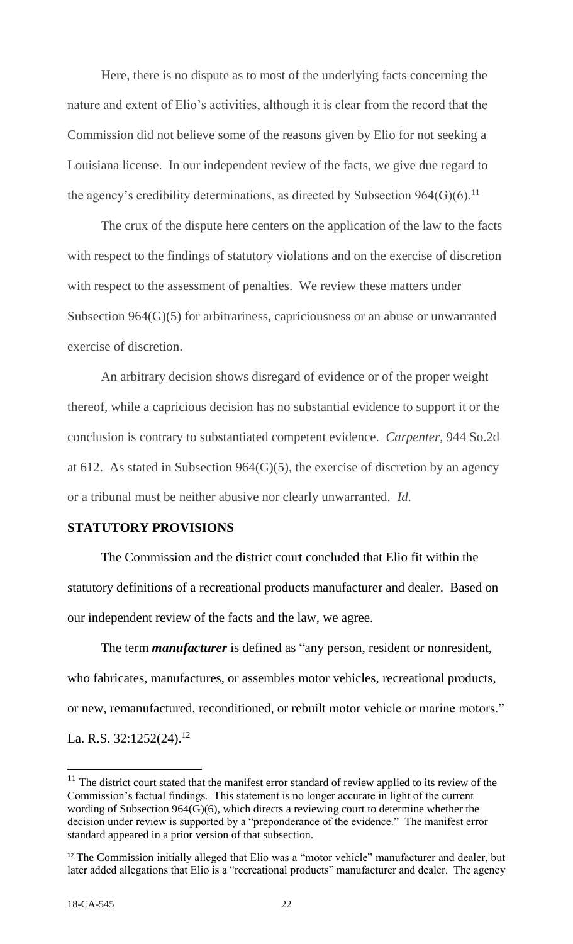Here, there is no dispute as to most of the underlying facts concerning the nature and extent of Elio's activities, although it is clear from the record that the Commission did not believe some of the reasons given by Elio for not seeking a Louisiana license. In our independent review of the facts, we give due regard to the agency's credibility determinations, as directed by Subsection  $964(G)(6)$ .<sup>11</sup>

The crux of the dispute here centers on the application of the law to the facts with respect to the findings of statutory violations and on the exercise of discretion with respect to the assessment of penalties. We review these matters under Subsection 964(G)(5) for arbitrariness, capriciousness or an abuse or unwarranted exercise of discretion.

An arbitrary decision shows disregard of evidence or of the proper weight thereof, while a capricious decision has no substantial evidence to support it or the conclusion is contrary to substantiated competent evidence. *Carpenter*, 944 So.2d at 612. As stated in Subsection 964(G)(5), the exercise of discretion by an agency or a tribunal must be neither abusive nor clearly unwarranted. *Id.*

# **STATUTORY PROVISIONS**

The Commission and the district court concluded that Elio fit within the statutory definitions of a recreational products manufacturer and dealer. Based on our independent review of the facts and the law, we agree.

The term *manufacturer* is defined as "any person, resident or nonresident, who fabricates, manufactures, or assembles motor vehicles, recreational products, or new, remanufactured, reconditioned, or rebuilt motor vehicle or marine motors." La. R.S.  $32:1252(24).$ <sup>12</sup>

 $\overline{a}$ 

 $11$  The district court stated that the manifest error standard of review applied to its review of the Commission's factual findings. This statement is no longer accurate in light of the current wording of Subsection 964(G)(6), which directs a reviewing court to determine whether the decision under review is supported by a "preponderance of the evidence." The manifest error standard appeared in a prior version of that subsection.

<sup>&</sup>lt;sup>12</sup> The Commission initially alleged that Elio was a "motor vehicle" manufacturer and dealer, but later added allegations that Elio is a "recreational products" manufacturer and dealer. The agency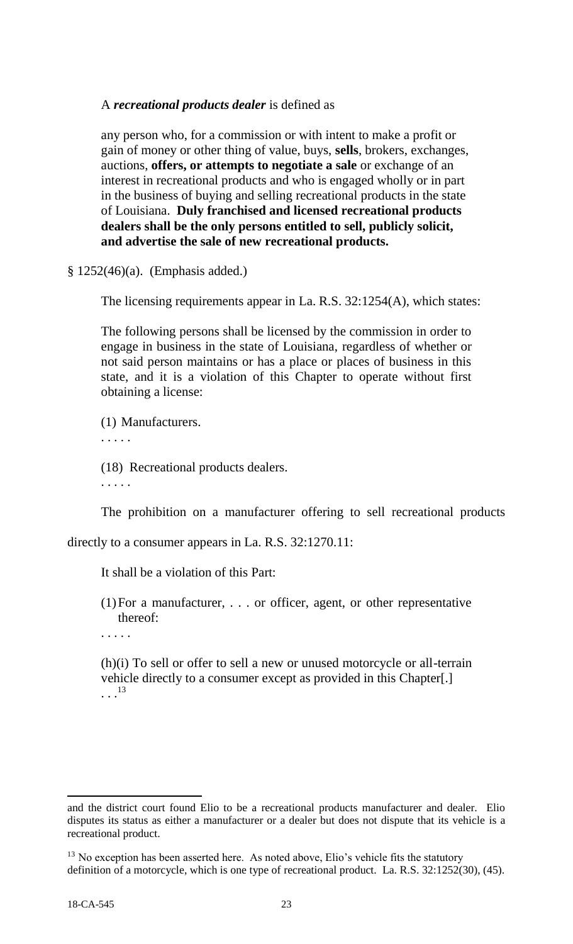A *recreational products dealer* is defined as

any person who, for a commission or with intent to make a profit or gain of money or other thing of value, buys, **sells**, brokers, exchanges, auctions, **offers, or attempts to negotiate a sale** or exchange of an interest in recreational products and who is engaged wholly or in part in the business of buying and selling recreational products in the state of Louisiana. **Duly franchised and licensed recreational products dealers shall be the only persons entitled to sell, publicly solicit, and advertise the sale of new recreational products.**

§ 1252(46)(a). (Emphasis added.)

The licensing requirements appear in La. R.S. 32:1254(A), which states:

The following persons shall be licensed by the commission in order to engage in business in the state of Louisiana, regardless of whether or not said person maintains or has a place or places of business in this state, and it is a violation of this Chapter to operate without first obtaining a license:

(1) Manufacturers. . . . . . (18) Recreational products dealers.

. . . . .

The prohibition on a manufacturer offering to sell recreational products

directly to a consumer appears in La. R.S. 32:1270.11:

It shall be a violation of this Part:

(1)For a manufacturer, . . . or officer, agent, or other representative thereof:

. . . . .

(h)(i) To sell or offer to sell a new or unused motorcycle or all-terrain vehicle directly to a consumer except as provided in this Chapter[.]  $\cdots$ <sup>13</sup>

and the district court found Elio to be a recreational products manufacturer and dealer. Elio disputes its status as either a manufacturer or a dealer but does not dispute that its vehicle is a recreational product.

 $13$  No exception has been asserted here. As noted above, Elio's vehicle fits the statutory definition of a motorcycle, which is one type of recreational product. La. R.S. 32:1252(30), (45).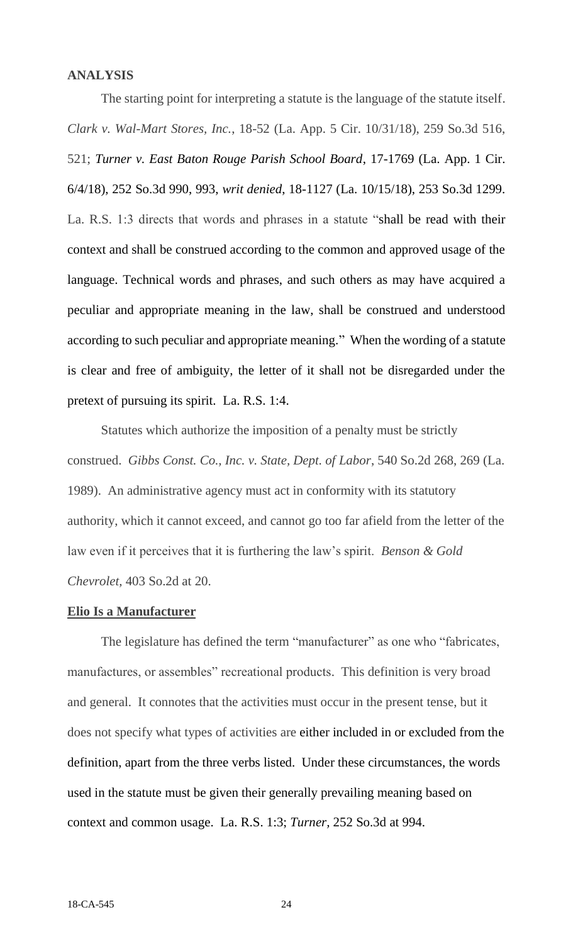# **ANALYSIS**

The starting point for interpreting a statute is the language of the statute itself. *Clark v. Wal-Mart Stores, Inc.*, 18-52 (La. App. 5 Cir. 10/31/18), 259 So.3d 516, 521; *Turner v. East Baton Rouge Parish School Board*, 17-1769 (La. App. 1 Cir. 6/4/18), 252 So.3d 990, 993, *writ denied*, 18-1127 (La. 10/15/18), 253 So.3d 1299. La. R.S. 1:3 directs that words and phrases in a statute "shall be read with their context and shall be construed according to the common and approved usage of the language. Technical words and phrases, and such others as may have acquired a peculiar and appropriate meaning in the law, shall be construed and understood according to such peculiar and appropriate meaning." When the wording of a statute is clear and free of ambiguity, the letter of it shall not be disregarded under the pretext of pursuing its spirit. La. R.S. 1:4.

Statutes which authorize the imposition of a penalty must be strictly construed. *Gibbs Const. Co., Inc. v. State, Dept. of Labor*, 540 So.2d 268, 269 (La. 1989). An administrative agency must act in conformity with its statutory authority, which it cannot exceed, and cannot go too far afield from the letter of the law even if it perceives that it is furthering the law's spirit. *Benson & Gold Chevrolet,* 403 So.2d at 20.

# **Elio Is a Manufacturer**

The legislature has defined the term "manufacturer" as one who "fabricates, manufactures, or assembles" recreational products. This definition is very broad and general. It connotes that the activities must occur in the present tense, but it does not specify what types of activities are either included in or excluded from the definition, apart from the three verbs listed. Under these circumstances, the words used in the statute must be given their generally prevailing meaning based on context and common usage. La. R.S. 1:3; *Turner,* 252 So.3d at 994.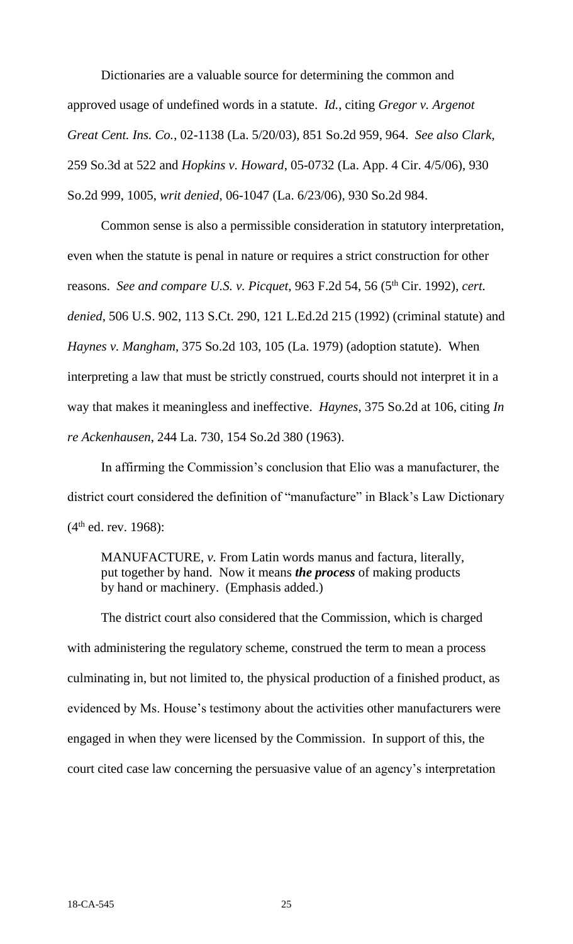Dictionaries are a valuable source for determining the common and approved usage of undefined words in a statute. *Id.*, citing *Gregor v. Argenot Great Cent. Ins. Co.*, 02-1138 (La. 5/20/03), 851 So.2d 959, 964. *See also Clark,*  259 So.3d at 522 and *Hopkins v. Howard*, 05-0732 (La. App. 4 Cir. 4/5/06), 930 So.2d 999, 1005, *writ denied*, 06-1047 (La. 6/23/06), 930 So.2d 984.

Common sense is also a permissible consideration in statutory interpretation, even when the statute is penal in nature or requires a strict construction for other reasons. *See and compare U.S. v. Picquet*, 963 F.2d 54, 56 (5th Cir. 1992), *cert. denied*, 506 U.S. 902, 113 S.Ct. 290, 121 L.Ed.2d 215 (1992) (criminal statute) and *Haynes v. Mangham*, 375 So.2d 103, 105 (La. 1979) (adoption statute). When interpreting a law that must be strictly construed, courts should not interpret it in a way that makes it meaningless and ineffective. *Haynes*, 375 So.2d at 106, citing *In re Ackenhausen*, 244 La. 730, 154 So.2d 380 (1963).

In affirming the Commission's conclusion that Elio was a manufacturer, the district court considered the definition of "manufacture" in Black's Law Dictionary  $(4<sup>th</sup>$  ed. rev. 1968):

MANUFACTURE, *v*. From Latin words manus and factura, literally, put together by hand. Now it means *the process* of making products by hand or machinery. (Emphasis added.)

The district court also considered that the Commission, which is charged with administering the regulatory scheme, construed the term to mean a process culminating in, but not limited to, the physical production of a finished product, as evidenced by Ms. House's testimony about the activities other manufacturers were engaged in when they were licensed by the Commission. In support of this, the court cited case law concerning the persuasive value of an agency's interpretation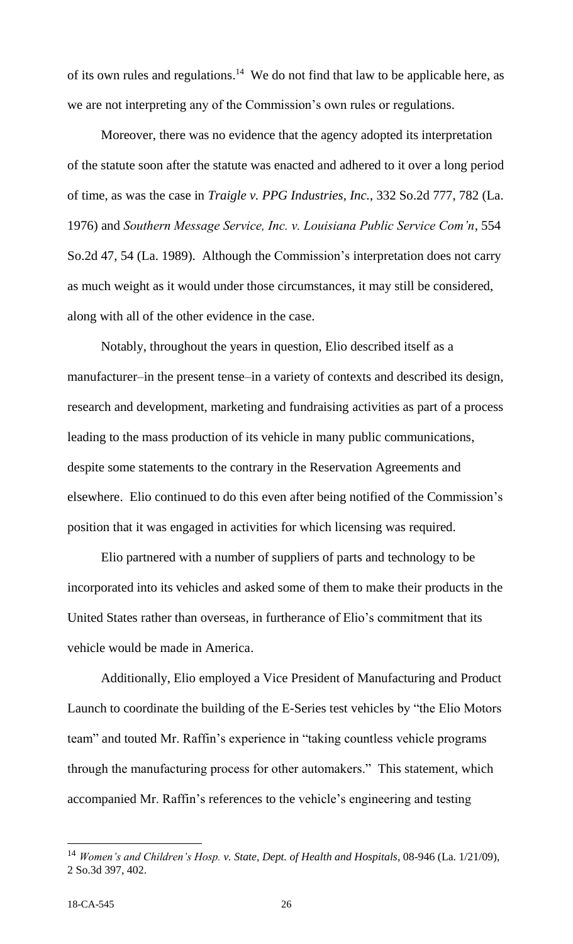of its own rules and regulations.<sup>14</sup> We do not find that law to be applicable here, as we are not interpreting any of the Commission's own rules or regulations.

Moreover, there was no evidence that the agency adopted its interpretation of the statute soon after the statute was enacted and adhered to it over a long period of time, as was the case in *Traigle v. PPG Industries, Inc.*, 332 So.2d 777, 782 (La. 1976) and *Southern Message Service, Inc. v. Louisiana Public Service Com'n*, 554 So.2d 47, 54 (La. 1989). Although the Commission's interpretation does not carry as much weight as it would under those circumstances, it may still be considered, along with all of the other evidence in the case.

Notably, throughout the years in question, Elio described itself as a manufacturer–in the present tense–in a variety of contexts and described its design, research and development, marketing and fundraising activities as part of a process leading to the mass production of its vehicle in many public communications, despite some statements to the contrary in the Reservation Agreements and elsewhere. Elio continued to do this even after being notified of the Commission's position that it was engaged in activities for which licensing was required.

Elio partnered with a number of suppliers of parts and technology to be incorporated into its vehicles and asked some of them to make their products in the United States rather than overseas, in furtherance of Elio's commitment that its vehicle would be made in America.

Additionally, Elio employed a Vice President of Manufacturing and Product Launch to coordinate the building of the E-Series test vehicles by "the Elio Motors team" and touted Mr. Raffin's experience in "taking countless vehicle programs through the manufacturing process for other automakers." This statement, which accompanied Mr. Raffin's references to the vehicle's engineering and testing

<sup>14</sup> *Women's and Children's Hosp. v. State, Dept. of Health and Hospitals*, 08-946 (La. 1/21/09), 2 So.3d 397, 402.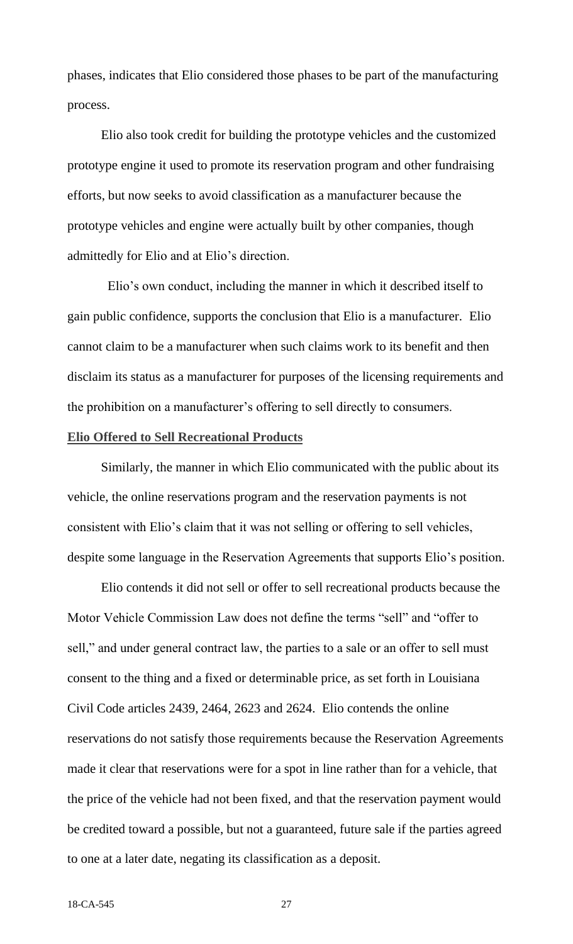phases, indicates that Elio considered those phases to be part of the manufacturing process.

Elio also took credit for building the prototype vehicles and the customized prototype engine it used to promote its reservation program and other fundraising efforts, but now seeks to avoid classification as a manufacturer because the prototype vehicles and engine were actually built by other companies, though admittedly for Elio and at Elio's direction.

 Elio's own conduct, including the manner in which it described itself to gain public confidence, supports the conclusion that Elio is a manufacturer. Elio cannot claim to be a manufacturer when such claims work to its benefit and then disclaim its status as a manufacturer for purposes of the licensing requirements and the prohibition on a manufacturer's offering to sell directly to consumers.

# **Elio Offered to Sell Recreational Products**

Similarly, the manner in which Elio communicated with the public about its vehicle, the online reservations program and the reservation payments is not consistent with Elio's claim that it was not selling or offering to sell vehicles, despite some language in the Reservation Agreements that supports Elio's position.

Elio contends it did not sell or offer to sell recreational products because the Motor Vehicle Commission Law does not define the terms "sell" and "offer to sell," and under general contract law, the parties to a sale or an offer to sell must consent to the thing and a fixed or determinable price, as set forth in Louisiana Civil Code articles 2439, 2464, 2623 and 2624. Elio contends the online reservations do not satisfy those requirements because the Reservation Agreements made it clear that reservations were for a spot in line rather than for a vehicle, that the price of the vehicle had not been fixed, and that the reservation payment would be credited toward a possible, but not a guaranteed, future sale if the parties agreed to one at a later date, negating its classification as a deposit.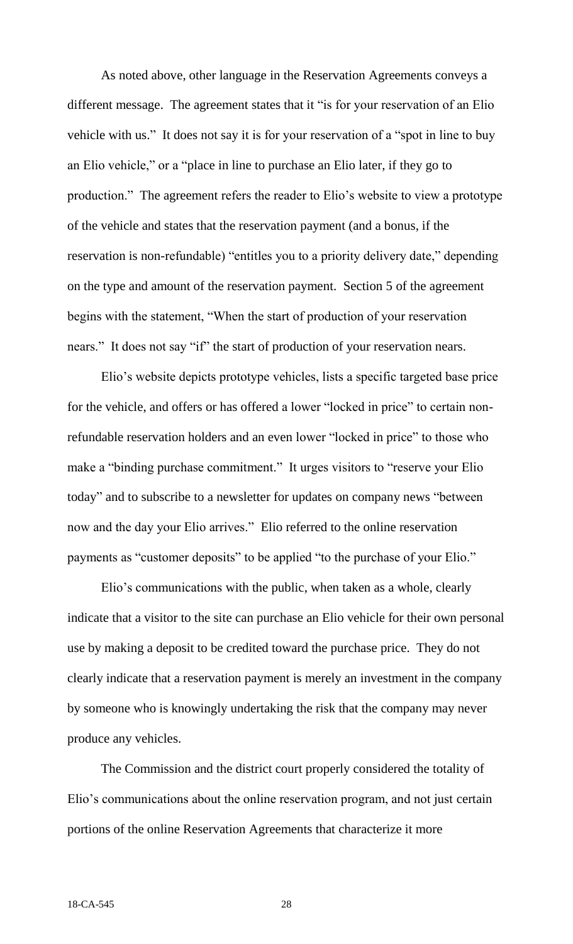As noted above, other language in the Reservation Agreements conveys a different message. The agreement states that it "is for your reservation of an Elio vehicle with us." It does not say it is for your reservation of a "spot in line to buy an Elio vehicle," or a "place in line to purchase an Elio later, if they go to production." The agreement refers the reader to Elio's website to view a prototype of the vehicle and states that the reservation payment (and a bonus, if the reservation is non-refundable) "entitles you to a priority delivery date," depending on the type and amount of the reservation payment. Section 5 of the agreement begins with the statement, "When the start of production of your reservation nears." It does not say "if" the start of production of your reservation nears.

Elio's website depicts prototype vehicles, lists a specific targeted base price for the vehicle, and offers or has offered a lower "locked in price" to certain nonrefundable reservation holders and an even lower "locked in price" to those who make a "binding purchase commitment." It urges visitors to "reserve your Elio today" and to subscribe to a newsletter for updates on company news "between now and the day your Elio arrives." Elio referred to the online reservation payments as "customer deposits" to be applied "to the purchase of your Elio."

Elio's communications with the public, when taken as a whole, clearly indicate that a visitor to the site can purchase an Elio vehicle for their own personal use by making a deposit to be credited toward the purchase price. They do not clearly indicate that a reservation payment is merely an investment in the company by someone who is knowingly undertaking the risk that the company may never produce any vehicles.

The Commission and the district court properly considered the totality of Elio's communications about the online reservation program, and not just certain portions of the online Reservation Agreements that characterize it more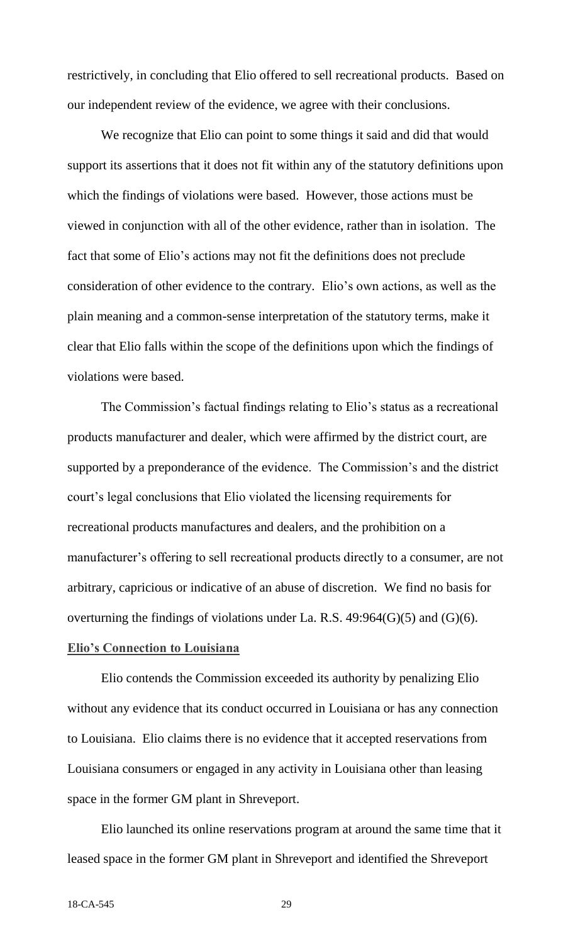restrictively, in concluding that Elio offered to sell recreational products. Based on our independent review of the evidence, we agree with their conclusions.

We recognize that Elio can point to some things it said and did that would support its assertions that it does not fit within any of the statutory definitions upon which the findings of violations were based. However, those actions must be viewed in conjunction with all of the other evidence, rather than in isolation. The fact that some of Elio's actions may not fit the definitions does not preclude consideration of other evidence to the contrary. Elio's own actions, as well as the plain meaning and a common-sense interpretation of the statutory terms, make it clear that Elio falls within the scope of the definitions upon which the findings of violations were based.

The Commission's factual findings relating to Elio's status as a recreational products manufacturer and dealer, which were affirmed by the district court, are supported by a preponderance of the evidence. The Commission's and the district court's legal conclusions that Elio violated the licensing requirements for recreational products manufactures and dealers, and the prohibition on a manufacturer's offering to sell recreational products directly to a consumer, are not arbitrary, capricious or indicative of an abuse of discretion. We find no basis for overturning the findings of violations under La. R.S. 49:964(G)(5) and (G)(6). **Elio's Connection to Louisiana**

Elio contends the Commission exceeded its authority by penalizing Elio without any evidence that its conduct occurred in Louisiana or has any connection to Louisiana. Elio claims there is no evidence that it accepted reservations from Louisiana consumers or engaged in any activity in Louisiana other than leasing space in the former GM plant in Shreveport.

Elio launched its online reservations program at around the same time that it leased space in the former GM plant in Shreveport and identified the Shreveport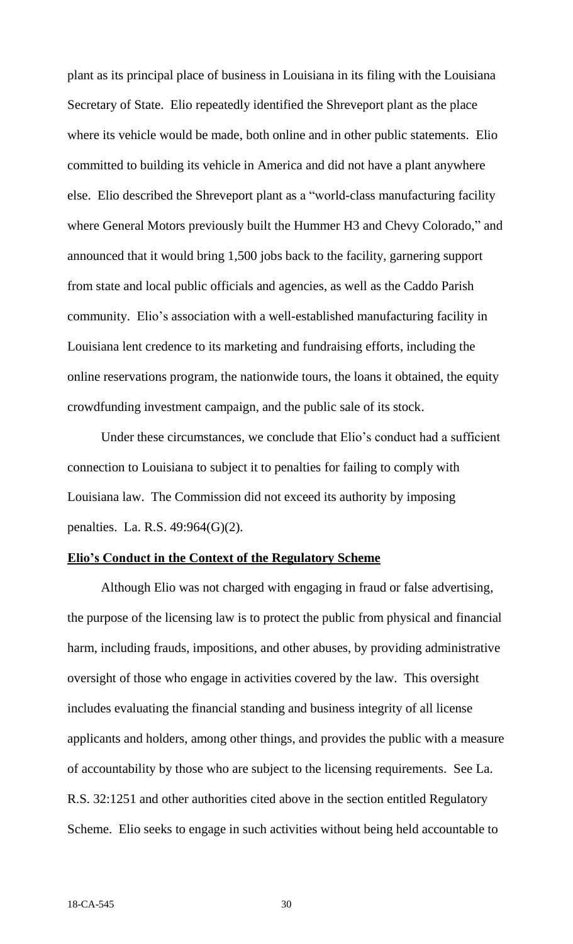plant as its principal place of business in Louisiana in its filing with the Louisiana Secretary of State. Elio repeatedly identified the Shreveport plant as the place where its vehicle would be made, both online and in other public statements. Elio committed to building its vehicle in America and did not have a plant anywhere else. Elio described the Shreveport plant as a "world-class manufacturing facility where General Motors previously built the Hummer H3 and Chevy Colorado," and announced that it would bring 1,500 jobs back to the facility, garnering support from state and local public officials and agencies, as well as the Caddo Parish community. Elio's association with a well-established manufacturing facility in Louisiana lent credence to its marketing and fundraising efforts, including the online reservations program, the nationwide tours, the loans it obtained, the equity crowdfunding investment campaign, and the public sale of its stock.

Under these circumstances, we conclude that Elio's conduct had a sufficient connection to Louisiana to subject it to penalties for failing to comply with Louisiana law. The Commission did not exceed its authority by imposing penalties. La. R.S. 49:964(G)(2).

## **Elio's Conduct in the Context of the Regulatory Scheme**

Although Elio was not charged with engaging in fraud or false advertising, the purpose of the licensing law is to protect the public from physical and financial harm, including frauds, impositions, and other abuses, by providing administrative oversight of those who engage in activities covered by the law. This oversight includes evaluating the financial standing and business integrity of all license applicants and holders, among other things, and provides the public with a measure of accountability by those who are subject to the licensing requirements. See La. R.S. 32:1251 and other authorities cited above in the section entitled Regulatory Scheme. Elio seeks to engage in such activities without being held accountable to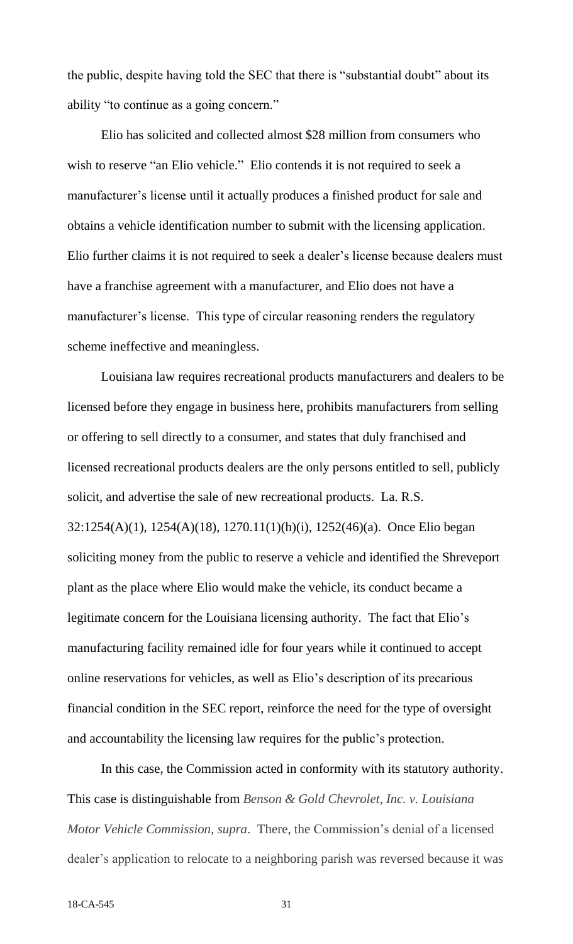the public, despite having told the SEC that there is "substantial doubt" about its ability "to continue as a going concern."

Elio has solicited and collected almost \$28 million from consumers who wish to reserve "an Elio vehicle." Elio contends it is not required to seek a manufacturer's license until it actually produces a finished product for sale and obtains a vehicle identification number to submit with the licensing application. Elio further claims it is not required to seek a dealer's license because dealers must have a franchise agreement with a manufacturer, and Elio does not have a manufacturer's license. This type of circular reasoning renders the regulatory scheme ineffective and meaningless.

Louisiana law requires recreational products manufacturers and dealers to be licensed before they engage in business here, prohibits manufacturers from selling or offering to sell directly to a consumer, and states that duly franchised and licensed recreational products dealers are the only persons entitled to sell, publicly solicit, and advertise the sale of new recreational products. La. R.S. 32:1254(A)(1), 1254(A)(18), 1270.11(1)(h)(i), 1252(46)(a). Once Elio began soliciting money from the public to reserve a vehicle and identified the Shreveport plant as the place where Elio would make the vehicle, its conduct became a legitimate concern for the Louisiana licensing authority. The fact that Elio's manufacturing facility remained idle for four years while it continued to accept online reservations for vehicles, as well as Elio's description of its precarious financial condition in the SEC report, reinforce the need for the type of oversight and accountability the licensing law requires for the public's protection.

In this case, the Commission acted in conformity with its statutory authority. This case is distinguishable from *Benson & Gold Chevrolet, Inc. v. Louisiana Motor Vehicle Commission*, *supra*. There, the Commission's denial of a licensed dealer's application to relocate to a neighboring parish was reversed because it was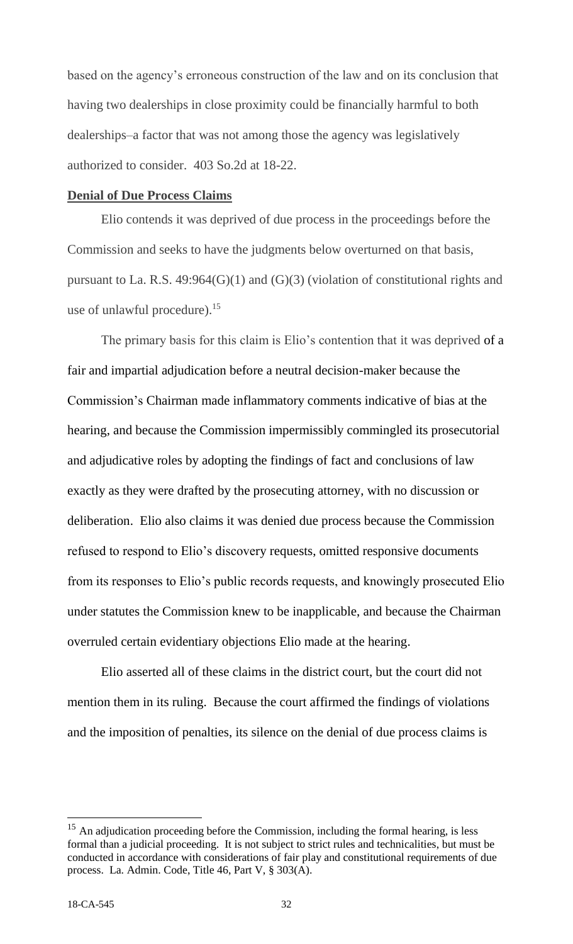based on the agency's erroneous construction of the law and on its conclusion that having two dealerships in close proximity could be financially harmful to both dealerships–a factor that was not among those the agency was legislatively authorized to consider. 403 So.2d at 18-22.

## **Denial of Due Process Claims**

Elio contends it was deprived of due process in the proceedings before the Commission and seeks to have the judgments below overturned on that basis, pursuant to La. R.S. 49:964(G)(1) and (G)(3) (violation of constitutional rights and use of unlawful procedure).<sup>15</sup>

The primary basis for this claim is Elio's contention that it was deprived of a fair and impartial adjudication before a neutral decision-maker because the Commission's Chairman made inflammatory comments indicative of bias at the hearing, and because the Commission impermissibly commingled its prosecutorial and adjudicative roles by adopting the findings of fact and conclusions of law exactly as they were drafted by the prosecuting attorney, with no discussion or deliberation. Elio also claims it was denied due process because the Commission refused to respond to Elio's discovery requests, omitted responsive documents from its responses to Elio's public records requests, and knowingly prosecuted Elio under statutes the Commission knew to be inapplicable, and because the Chairman overruled certain evidentiary objections Elio made at the hearing.

Elio asserted all of these claims in the district court, but the court did not mention them in its ruling. Because the court affirmed the findings of violations and the imposition of penalties, its silence on the denial of due process claims is

 $\overline{a}$ 

 $15$  An adjudication proceeding before the Commission, including the formal hearing, is less formal than a judicial proceeding. It is not subject to strict rules and technicalities, but must be conducted in accordance with considerations of fair play and constitutional requirements of due process. La. Admin. Code, Title 46, Part V, § 303(A).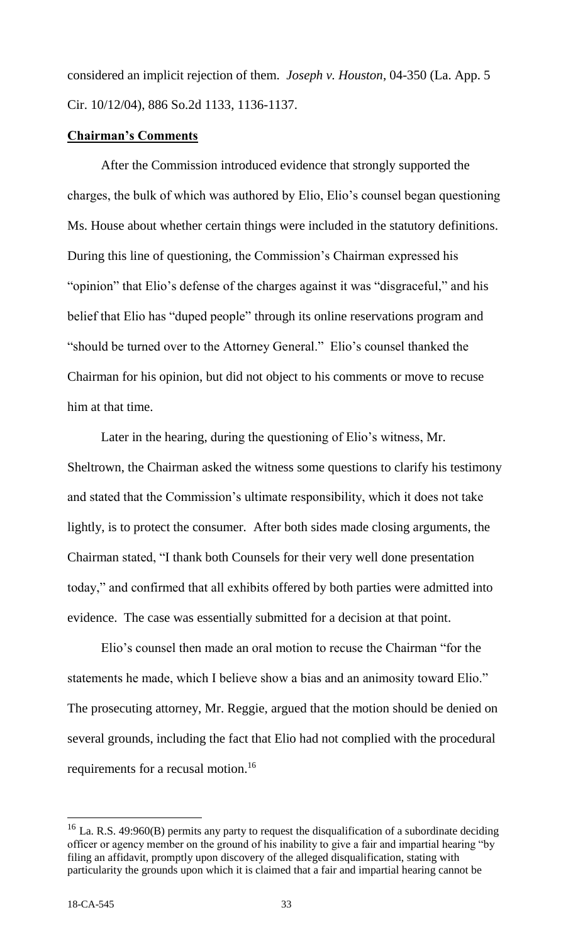considered an implicit rejection of them. *Joseph v. Houston*, 04-350 (La. App. 5 Cir. 10/12/04), 886 So.2d 1133, 1136-1137.

# **Chairman's Comments**

After the Commission introduced evidence that strongly supported the charges, the bulk of which was authored by Elio, Elio's counsel began questioning Ms. House about whether certain things were included in the statutory definitions. During this line of questioning, the Commission's Chairman expressed his "opinion" that Elio's defense of the charges against it was "disgraceful," and his belief that Elio has "duped people" through its online reservations program and "should be turned over to the Attorney General." Elio's counsel thanked the Chairman for his opinion, but did not object to his comments or move to recuse him at that time.

Later in the hearing, during the questioning of Elio's witness, Mr. Sheltrown, the Chairman asked the witness some questions to clarify his testimony and stated that the Commission's ultimate responsibility, which it does not take lightly, is to protect the consumer. After both sides made closing arguments, the Chairman stated, "I thank both Counsels for their very well done presentation today," and confirmed that all exhibits offered by both parties were admitted into evidence. The case was essentially submitted for a decision at that point.

Elio's counsel then made an oral motion to recuse the Chairman "for the statements he made, which I believe show a bias and an animosity toward Elio." The prosecuting attorney, Mr. Reggie, argued that the motion should be denied on several grounds, including the fact that Elio had not complied with the procedural requirements for a recusal motion.<sup>16</sup>

 $\overline{a}$ 

<sup>&</sup>lt;sup>16</sup> La. R.S. 49:960(B) permits any party to request the disqualification of a subordinate deciding officer or agency member on the ground of his inability to give a fair and impartial hearing "by filing an affidavit, promptly upon discovery of the alleged disqualification, stating with particularity the grounds upon which it is claimed that a fair and impartial hearing cannot be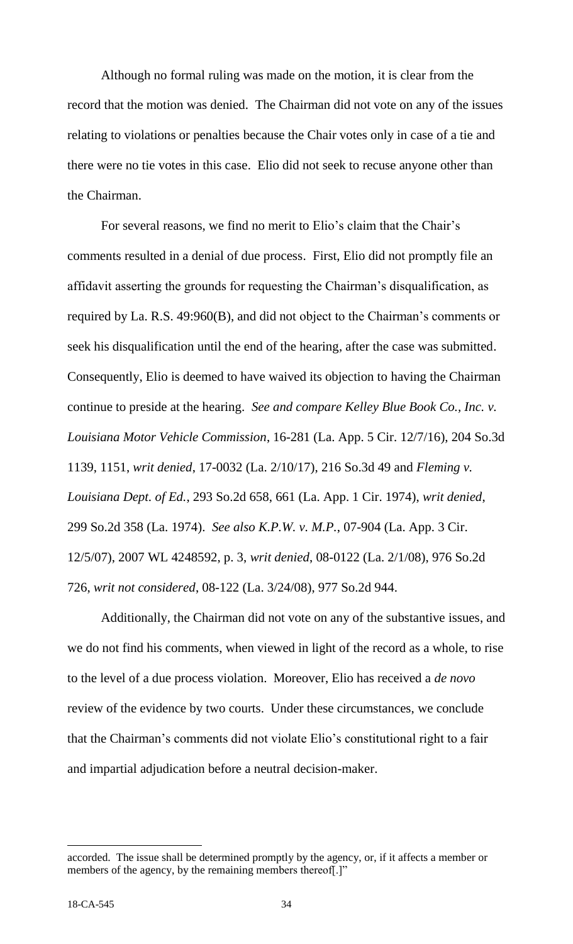Although no formal ruling was made on the motion, it is clear from the record that the motion was denied.The Chairman did not vote on any of the issues relating to violations or penalties because the Chair votes only in case of a tie and there were no tie votes in this case. Elio did not seek to recuse anyone other than the Chairman.

For several reasons, we find no merit to Elio's claim that the Chair's comments resulted in a denial of due process. First, Elio did not promptly file an affidavit asserting the grounds for requesting the Chairman's disqualification, as required by La. R.S. 49:960(B), and did not object to the Chairman's comments or seek his disqualification until the end of the hearing, after the case was submitted. Consequently, Elio is deemed to have waived its objection to having the Chairman continue to preside at the hearing. *See and compare Kelley Blue Book Co., Inc. v. Louisiana Motor Vehicle Commission*, 16-281 (La. App. 5 Cir. 12/7/16), 204 So.3d 1139, 1151, *writ denied*, 17-0032 (La. 2/10/17), 216 So.3d 49 and *Fleming v. Louisiana Dept. of Ed.*, 293 So.2d 658, 661 (La. App. 1 Cir. 1974), *writ denied*, 299 So.2d 358 (La. 1974). *See also K.P.W. v. M.P.*, 07-904 (La. App. 3 Cir. 12/5/07), 2007 WL 4248592, p. 3, *writ denied*, 08-0122 (La. 2/1/08), 976 So.2d 726, *writ not considered*, 08-122 (La. 3/24/08), 977 So.2d 944.

Additionally, the Chairman did not vote on any of the substantive issues, and we do not find his comments, when viewed in light of the record as a whole, to rise to the level of a due process violation. Moreover, Elio has received a *de novo*  review of the evidence by two courts. Under these circumstances, we conclude that the Chairman's comments did not violate Elio's constitutional right to a fair and impartial adjudication before a neutral decision-maker.

accorded. The issue shall be determined promptly by the agency, or, if it affects a member or members of the agency, by the remaining members thereof.]"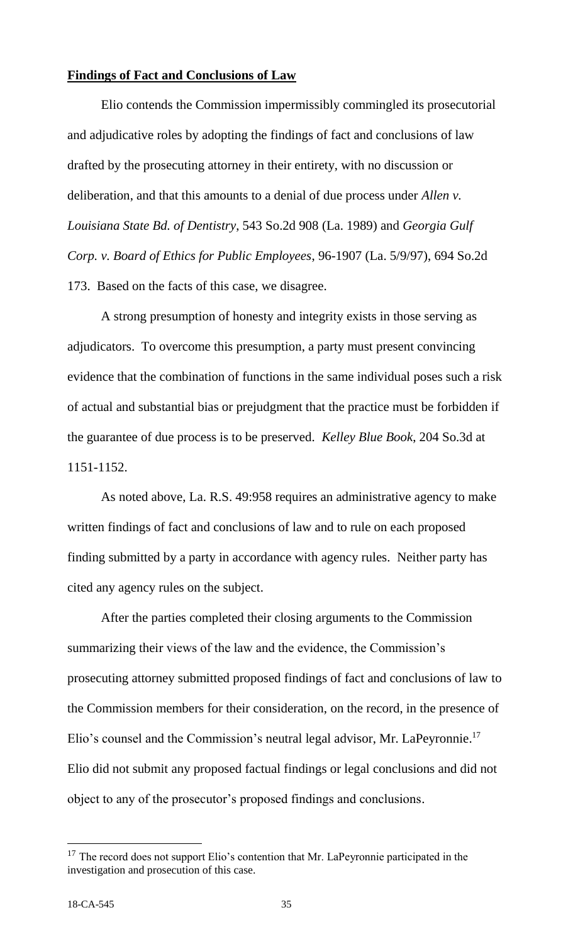# **Findings of Fact and Conclusions of Law**

Elio contends the Commission impermissibly commingled its prosecutorial and adjudicative roles by adopting the findings of fact and conclusions of law drafted by the prosecuting attorney in their entirety, with no discussion or deliberation, and that this amounts to a denial of due process under *Allen v. Louisiana State Bd. of Dentistry*, 543 So.2d 908 (La. 1989) and *Georgia Gulf Corp. v. Board of Ethics for Public Employees*, 96-1907 (La. 5/9/97), 694 So.2d 173. Based on the facts of this case, we disagree.

A strong presumption of honesty and integrity exists in those serving as adjudicators. To overcome this presumption, a party must present convincing evidence that the combination of functions in the same individual poses such a risk of actual and substantial bias or prejudgment that the practice must be forbidden if the guarantee of due process is to be preserved. *Kelley Blue Book*, 204 So.3d at 1151-1152.

As noted above, La. R.S. 49:958 requires an administrative agency to make written findings of fact and conclusions of law and to rule on each proposed finding submitted by a party in accordance with agency rules. Neither party has cited any agency rules on the subject.

After the parties completed their closing arguments to the Commission summarizing their views of the law and the evidence, the Commission's prosecuting attorney submitted proposed findings of fact and conclusions of law to the Commission members for their consideration, on the record, in the presence of Elio's counsel and the Commission's neutral legal advisor, Mr. LaPeyronnie.<sup>17</sup> Elio did not submit any proposed factual findings or legal conclusions and did not object to any of the prosecutor's proposed findings and conclusions.

 $17$  The record does not support Elio's contention that Mr. LaPeyronnie participated in the investigation and prosecution of this case.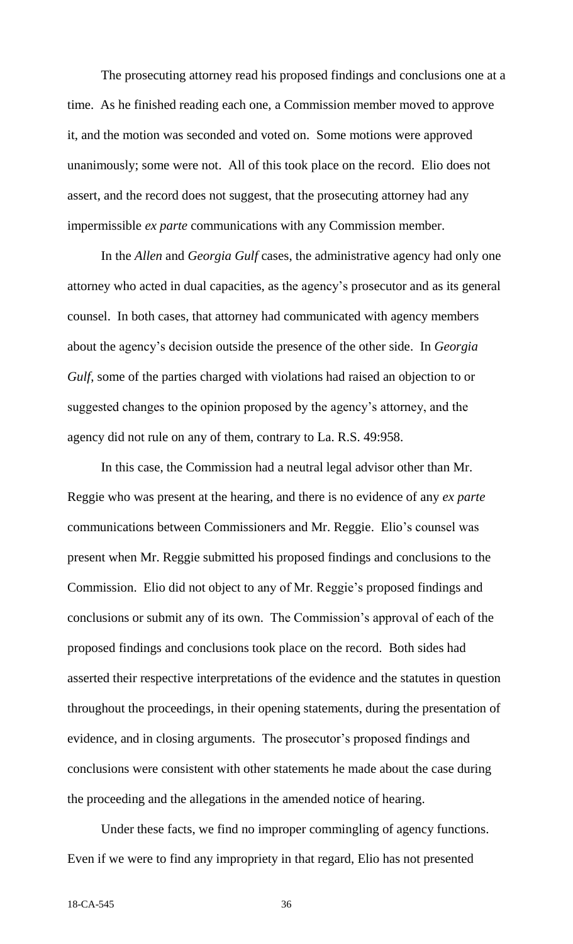The prosecuting attorney read his proposed findings and conclusions one at a time. As he finished reading each one, a Commission member moved to approve it, and the motion was seconded and voted on. Some motions were approved unanimously; some were not. All of this took place on the record. Elio does not assert, and the record does not suggest, that the prosecuting attorney had any impermissible *ex parte* communications with any Commission member.

In the *Allen* and *Georgia Gulf* cases, the administrative agency had only one attorney who acted in dual capacities, as the agency's prosecutor and as its general counsel. In both cases, that attorney had communicated with agency members about the agency's decision outside the presence of the other side. In *Georgia Gulf*, some of the parties charged with violations had raised an objection to or suggested changes to the opinion proposed by the agency's attorney, and the agency did not rule on any of them, contrary to La. R.S. 49:958.

In this case, the Commission had a neutral legal advisor other than Mr. Reggie who was present at the hearing, and there is no evidence of any *ex parte* communications between Commissioners and Mr. Reggie. Elio's counsel was present when Mr. Reggie submitted his proposed findings and conclusions to the Commission. Elio did not object to any of Mr. Reggie's proposed findings and conclusions or submit any of its own. The Commission's approval of each of the proposed findings and conclusions took place on the record. Both sides had asserted their respective interpretations of the evidence and the statutes in question throughout the proceedings, in their opening statements, during the presentation of evidence, and in closing arguments. The prosecutor's proposed findings and conclusions were consistent with other statements he made about the case during the proceeding and the allegations in the amended notice of hearing.

Under these facts, we find no improper commingling of agency functions. Even if we were to find any impropriety in that regard, Elio has not presented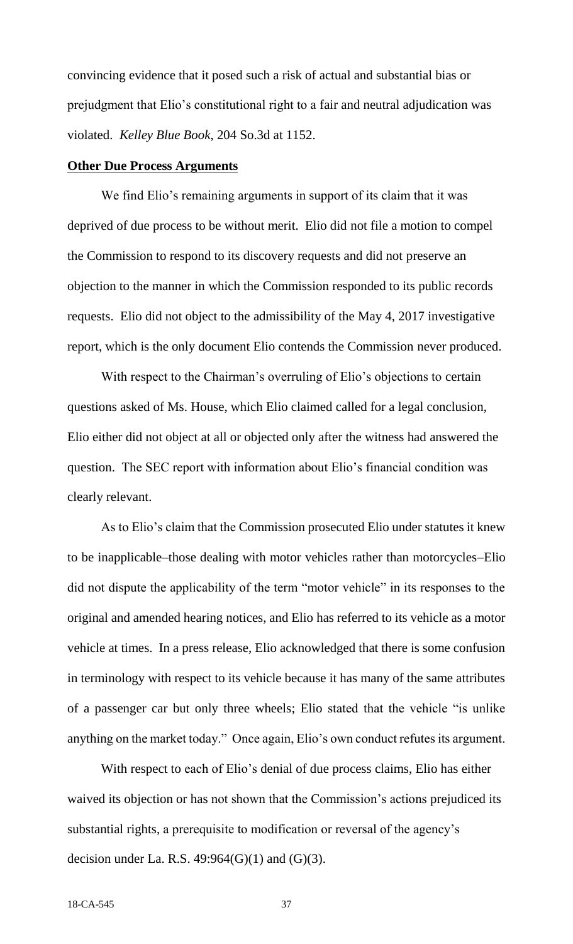convincing evidence that it posed such a risk of actual and substantial bias or prejudgment that Elio's constitutional right to a fair and neutral adjudication was violated. *Kelley Blue Book*, 204 So.3d at 1152.

#### **Other Due Process Arguments**

We find Elio's remaining arguments in support of its claim that it was deprived of due process to be without merit. Elio did not file a motion to compel the Commission to respond to its discovery requests and did not preserve an objection to the manner in which the Commission responded to its public records requests. Elio did not object to the admissibility of the May 4, 2017 investigative report, which is the only document Elio contends the Commission never produced.

With respect to the Chairman's overruling of Elio's objections to certain questions asked of Ms. House, which Elio claimed called for a legal conclusion, Elio either did not object at all or objected only after the witness had answered the question. The SEC report with information about Elio's financial condition was clearly relevant.

As to Elio's claim that the Commission prosecuted Elio under statutes it knew to be inapplicable–those dealing with motor vehicles rather than motorcycles–Elio did not dispute the applicability of the term "motor vehicle" in its responses to the original and amended hearing notices, and Elio has referred to its vehicle as a motor vehicle at times. In a press release, Elio acknowledged that there is some confusion in terminology with respect to its vehicle because it has many of the same attributes of a passenger car but only three wheels; Elio stated that the vehicle "is unlike anything on the market today." Once again, Elio's own conduct refutes its argument.

With respect to each of Elio's denial of due process claims, Elio has either waived its objection or has not shown that the Commission's actions prejudiced its substantial rights, a prerequisite to modification or reversal of the agency's decision under La. R.S.  $49:964(G)(1)$  and  $(G)(3)$ .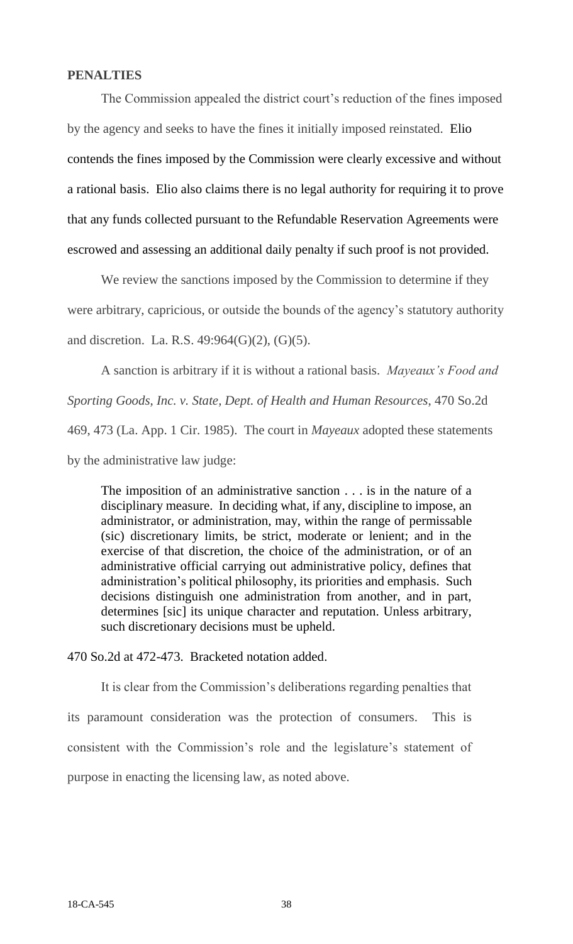# **PENALTIES**

The Commission appealed the district court's reduction of the fines imposed by the agency and seeks to have the fines it initially imposed reinstated. Elio contends the fines imposed by the Commission were clearly excessive and without a rational basis. Elio also claims there is no legal authority for requiring it to prove that any funds collected pursuant to the Refundable Reservation Agreements were escrowed and assessing an additional daily penalty if such proof is not provided.

We review the sanctions imposed by the Commission to determine if they were arbitrary, capricious, or outside the bounds of the agency's statutory authority and discretion. La. R.S. 49:964(G)(2), (G)(5).

A sanction is arbitrary if it is without a rational basis. *Mayeaux's Food and Sporting Goods, Inc. v. State, Dept. of Health and Human Resources*, 470 So.2d 469, 473 (La. App. 1 Cir. 1985). The court in *Mayeaux* adopted these statements by the administrative law judge:

The imposition of an administrative sanction . . . is in the nature of a disciplinary measure. In deciding what, if any, discipline to impose, an administrator, or administration, may, within the range of permissable (sic) discretionary limits, be strict, moderate or lenient; and in the exercise of that discretion, the choice of the administration, or of an administrative official carrying out administrative policy, defines that administration's political philosophy, its priorities and emphasis. Such decisions distinguish one administration from another, and in part, determines [sic] its unique character and reputation. Unless arbitrary, such discretionary decisions must be upheld.

470 So.2d at 472-473. Bracketed notation added.

It is clear from the Commission's deliberations regarding penalties that its paramount consideration was the protection of consumers. This is consistent with the Commission's role and the legislature's statement of purpose in enacting the licensing law, as noted above.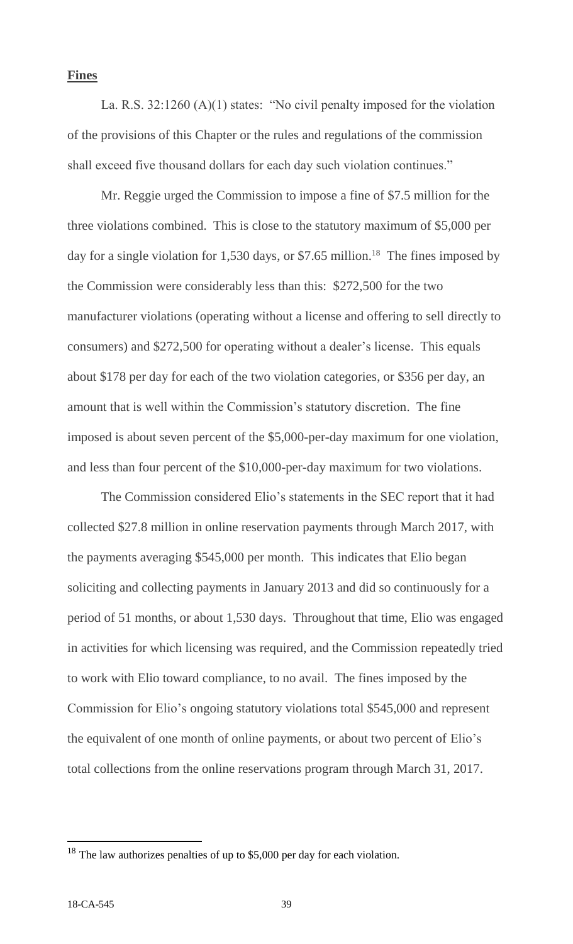## **Fines**

La. R.S. 32:1260 (A)(1) states: "No civil penalty imposed for the violation of the provisions of this Chapter or the rules and regulations of the commission shall exceed five thousand dollars for each day such violation continues."

Mr. Reggie urged the Commission to impose a fine of \$7.5 million for the three violations combined. This is close to the statutory maximum of \$5,000 per day for a single violation for 1,530 days, or \$7.65 million.<sup>18</sup> The fines imposed by the Commission were considerably less than this: \$272,500 for the two manufacturer violations (operating without a license and offering to sell directly to consumers) and \$272,500 for operating without a dealer's license. This equals about \$178 per day for each of the two violation categories, or \$356 per day, an amount that is well within the Commission's statutory discretion. The fine imposed is about seven percent of the \$5,000-per-day maximum for one violation, and less than four percent of the \$10,000-per-day maximum for two violations.

The Commission considered Elio's statements in the SEC report that it had collected \$27.8 million in online reservation payments through March 2017, with the payments averaging \$545,000 per month. This indicates that Elio began soliciting and collecting payments in January 2013 and did so continuously for a period of 51 months, or about 1,530 days. Throughout that time, Elio was engaged in activities for which licensing was required, and the Commission repeatedly tried to work with Elio toward compliance, to no avail. The fines imposed by the Commission for Elio's ongoing statutory violations total \$545,000 and represent the equivalent of one month of online payments, or about two percent of Elio's total collections from the online reservations program through March 31, 2017.

<sup>&</sup>lt;sup>18</sup> The law authorizes penalties of up to \$5,000 per day for each violation.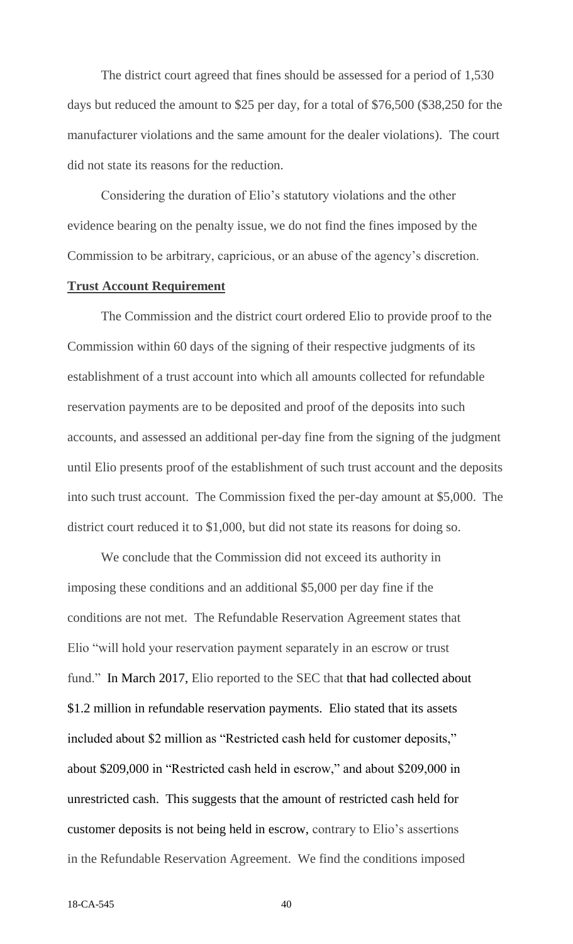The district court agreed that fines should be assessed for a period of 1,530 days but reduced the amount to \$25 per day, for a total of \$76,500 (\$38,250 for the manufacturer violations and the same amount for the dealer violations). The court did not state its reasons for the reduction.

Considering the duration of Elio's statutory violations and the other evidence bearing on the penalty issue, we do not find the fines imposed by the Commission to be arbitrary, capricious, or an abuse of the agency's discretion.

# **Trust Account Requirement**

The Commission and the district court ordered Elio to provide proof to the Commission within 60 days of the signing of their respective judgments of its establishment of a trust account into which all amounts collected for refundable reservation payments are to be deposited and proof of the deposits into such accounts, and assessed an additional per-day fine from the signing of the judgment until Elio presents proof of the establishment of such trust account and the deposits into such trust account. The Commission fixed the per-day amount at \$5,000. The district court reduced it to \$1,000, but did not state its reasons for doing so.

We conclude that the Commission did not exceed its authority in imposing these conditions and an additional \$5,000 per day fine if the conditions are not met. The Refundable Reservation Agreement states that Elio "will hold your reservation payment separately in an escrow or trust fund." In March 2017, Elio reported to the SEC that that had collected about \$1.2 million in refundable reservation payments. Elio stated that its assets included about \$2 million as "Restricted cash held for customer deposits," about \$209,000 in "Restricted cash held in escrow," and about \$209,000 in unrestricted cash. This suggests that the amount of restricted cash held for customer deposits is not being held in escrow, contrary to Elio's assertions in the Refundable Reservation Agreement. We find the conditions imposed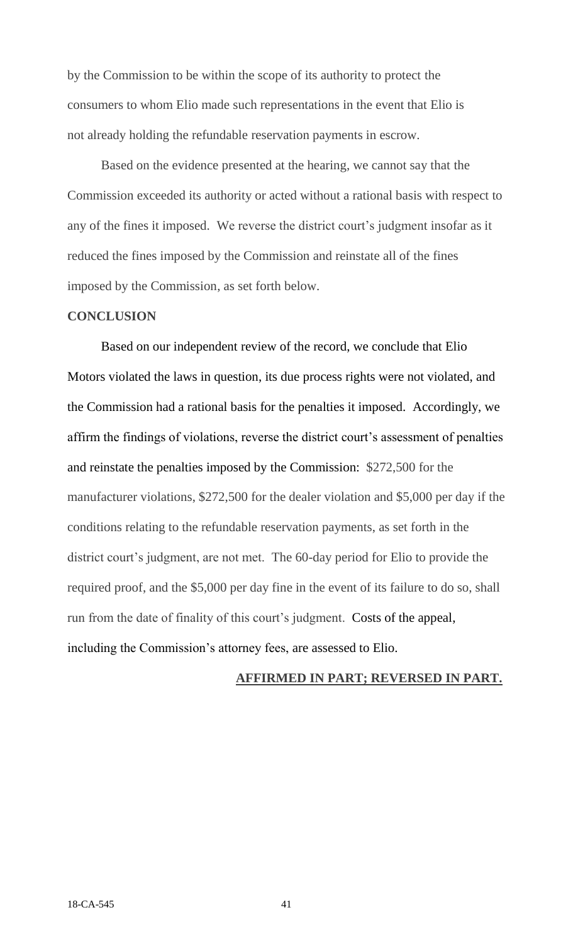by the Commission to be within the scope of its authority to protect the consumers to whom Elio made such representations in the event that Elio is not already holding the refundable reservation payments in escrow.

Based on the evidence presented at the hearing, we cannot say that the Commission exceeded its authority or acted without a rational basis with respect to any of the fines it imposed. We reverse the district court's judgment insofar as it reduced the fines imposed by the Commission and reinstate all of the fines imposed by the Commission, as set forth below.

# **CONCLUSION**

Based on our independent review of the record, we conclude that Elio Motors violated the laws in question, its due process rights were not violated, and the Commission had a rational basis for the penalties it imposed. Accordingly, we affirm the findings of violations, reverse the district court's assessment of penalties and reinstate the penalties imposed by the Commission: \$272,500 for the manufacturer violations, \$272,500 for the dealer violation and \$5,000 per day if the conditions relating to the refundable reservation payments, as set forth in the district court's judgment, are not met. The 60-day period for Elio to provide the required proof, and the \$5,000 per day fine in the event of its failure to do so, shall run from the date of finality of this court's judgment. Costs of the appeal, including the Commission's attorney fees, are assessed to Elio.

# **AFFIRMED IN PART; REVERSED IN PART.**